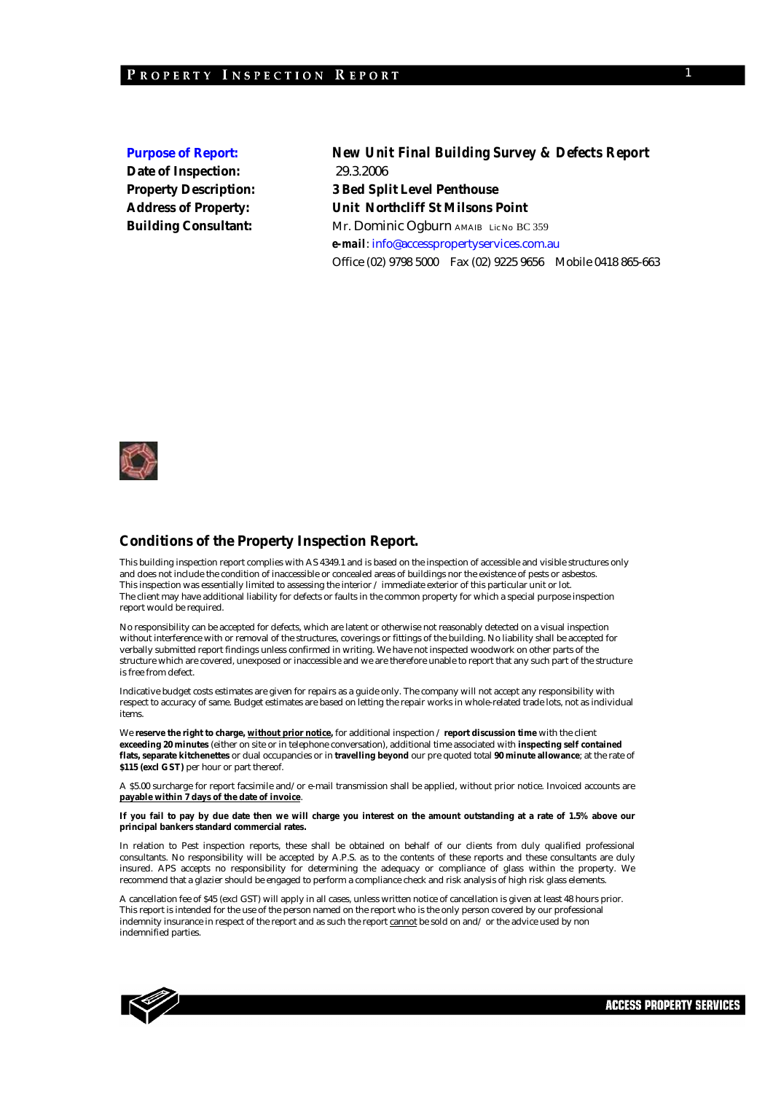**Date of Inspection:** 29.3.2006

**Purpose of Report:** *New Unit Final Building Survey & Defects Report*  **Property Description: 3 Bed Split Level Penthouse Address of Property: Unit Northcliff St Milsons Point Building Consultant:** Mr. Dominic Ogburn AMAIB Lic No BC 359 *e-mail*: info@accesspropertyservices.com.au Office (02) 9798 5000 Fax (02) 9225 9656 Mobile 0418 865-663



#### **Conditions of the Property Inspection Report.**

This building inspection report complies with AS 4349.1 and is based on the inspection of accessible and visible structures only and does not include the condition of inaccessible or concealed areas of buildings nor the existence of pests or asbestos. This inspection was essentially limited to assessing the interior / immediate exterior of this particular unit or lot. The client may have additional liability for defects or faults in the common property for which a special purpose inspection report would be required.

No responsibility can be accepted for defects, which are latent or otherwise not reasonably detected on a visual inspection without interference with or removal of the structures, coverings or fittings of the building. No liability shall be accepted for verbally submitted report findings unless confirmed in writing. We have not inspected woodwork on other parts of the structure which are covered, unexposed or inaccessible and we are therefore unable to report that any such part of the structure is free from defect.

Indicative budget costs estimates are given for repairs as a guide only. The company will not accept any responsibility with respect to accuracy of same. Budget estimates are based on letting the repair works in whole-related trade lots, not as individual items.

We **reserve the right to charge, without prior notice,** for additional inspection / **report discussion time** with the client **exceeding 20 minutes** (either on site or in telephone conversation), additional time associated with **inspecting self contained flats, separate kitchenettes** or dual occupancies or in **travelling beyond** our pre quoted total **90 minute allowance**; at the rate of **\$115 (excl GST)** per hour or part thereof.

A \$5.00 surcharge for report facsimile and/or e-mail transmission shall be applied, without prior notice. Invoiced accounts are **payable within 7 days of the date of invoice**.

#### **If you fail to pay by due date then we will charge you interest on the amount outstanding at a rate of 1.5% above our principal bankers standard commercial rates.**

In relation to Pest inspection reports, these shall be obtained on behalf of our clients from duly qualified professional consultants. No responsibility will be accepted by A.P.S. as to the contents of these reports and these consultants are duly insured. APS accepts no responsibility for determining the adequacy or compliance of glass within the property. We recommend that a glazier should be engaged to perform a compliance check and risk analysis of high risk glass elements.

A cancellation fee of \$45 (excl GST) will apply in all cases, unless written notice of cancellation is given at least 48 hours prior. This report is intended for the use of the person named on the report who is the only person covered by our professional indemnity insurance in respect of the report and as such the report cannot be sold on and/ or the advice used by non indemnified parties.

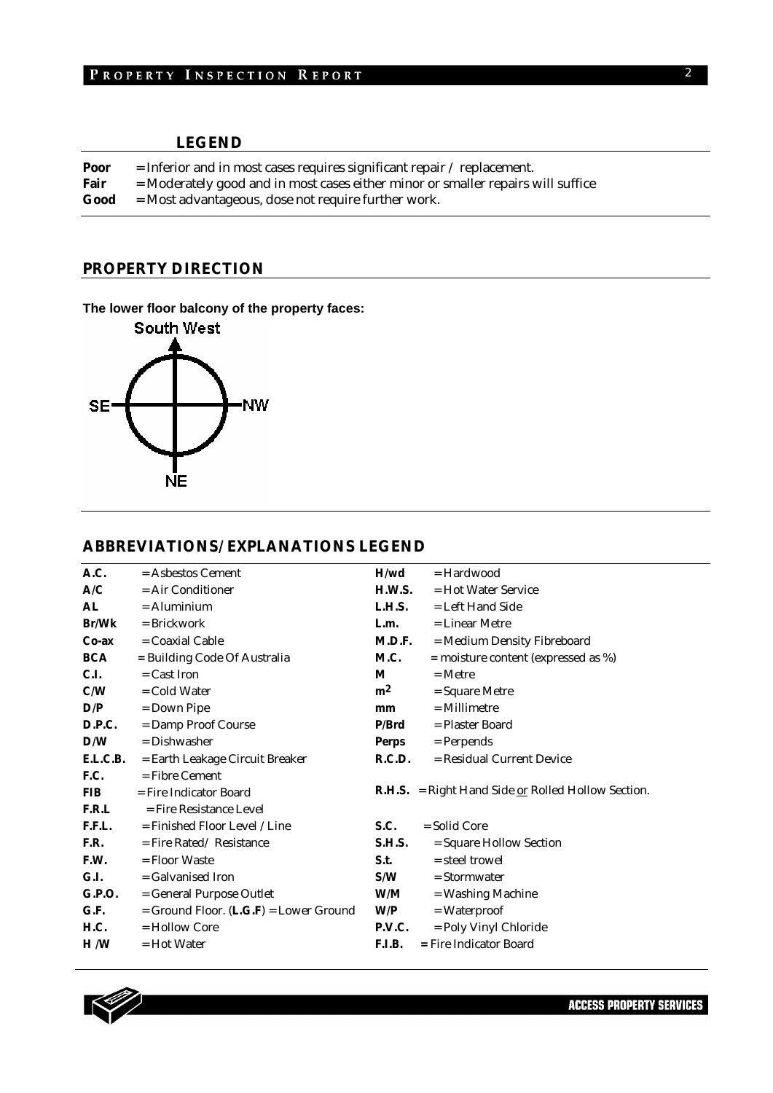### **LEGEND**

| Poor | $=$ Inferior and in most cases requires significant repair / replacement.        |
|------|----------------------------------------------------------------------------------|
| Fair | = Moderately good and in most cases either minor or smaller repairs will suffice |
| Good | $=$ Most advantageous, dose not require further work.                            |

### **PROPERTY DIRECTION**

**The lower floor balcony of the property faces:** 



#### **ABBREVIATIONS/ EXPLANATIONS LEGEND**

| A.C.       | $=$ Asbestos Cement                        | H/wd           | $=$ Hardwood                                                |
|------------|--------------------------------------------|----------------|-------------------------------------------------------------|
| A/C        | $=$ Air Conditioner                        | H.W.S.         | $=$ Hot Water Service                                       |
| AL         | $=$ Aluminium                              | L.H.S.         | $=$ Left Hand Side                                          |
| Br/Wk      | $=$ Brickwork                              | L.m.           | $=$ Linear Metre                                            |
| $Co-ax$    | $=$ Coaxial Cable                          | M.D.F.         | = Medium Density Fibreboard                                 |
| <b>BCA</b> | = Building Code Of Australia               | M.C.           | $=$ moisture content (expressed as %)                       |
| C.I.       | $=$ Cast Iron                              | M              | $=$ Metre                                                   |
| C/W        | $=$ Cold Water                             | m <sup>2</sup> | $=$ Square Metre                                            |
| D/P        | $=$ Down Pipe                              | mm             | $=$ Millimetre                                              |
| D.P.C.     | = Damp Proof Course                        | P/Brd          | = Plaster Board                                             |
| D/W        | $=$ Dishwasher                             | <b>Perps</b>   | $=$ Perpends                                                |
| E.L.C.B.   | = Earth Leakage Circuit Breaker            | R.C.D.         | = Residual Current Device                                   |
| F.C.       | $=$ Fibre Cement                           |                |                                                             |
| <b>FIB</b> | = Fire Indicator Board                     |                | <b>R.H.S.</b> = Right Hand Side $or$ Rolled Hollow Section. |
| F.R.L      | $=$ Fire Resistance Level                  |                |                                                             |
| F.F.L.     | $=$ Finished Floor Level / Line            | S.C.           | $=$ Solid Core                                              |
| F.R.       | $=$ Fire Rated/Resistance                  | <b>S.H.S.</b>  | = Square Hollow Section                                     |
| F.W.       | $=$ Floor Waste                            | S.t.           | = steel trowel                                              |
| G.I.       | = Galvanised Iron                          | S/W            | $=$ Stormwater                                              |
| G.P.O.     | = General Purpose Outlet                   | W/M            | = Washing Machine                                           |
| G.F.       | $=$ Ground Floor. $(L.G.F) =$ Lower Ground | W/P            | $= Waterproof$                                              |
| H.C.       | $=$ Hollow Core                            | P.V.C.         | = Poly Vinyl Chloride                                       |
| H/W        | $=$ Hot Water                              | <b>F.I.B.</b>  | = Fire Indicator Board                                      |
|            |                                            |                |                                                             |

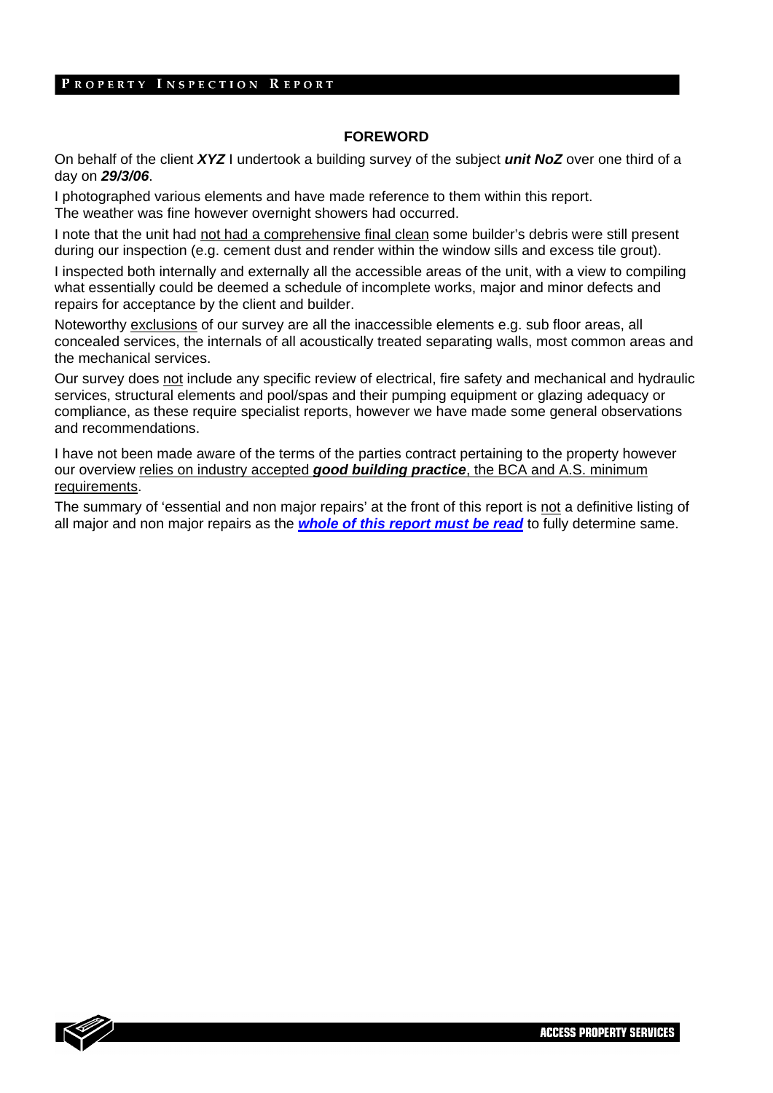#### **FOREWORD**

On behalf of the client *XYZ* I undertook a building survey of the subject *unit NoZ* over one third of a day on *29/3/06*.

I photographed various elements and have made reference to them within this report. The weather was fine however overnight showers had occurred.

I note that the unit had not had a comprehensive final clean some builder's debris were still present during our inspection (e.g. cement dust and render within the window sills and excess tile grout).

I inspected both internally and externally all the accessible areas of the unit, with a view to compiling what essentially could be deemed a schedule of incomplete works, major and minor defects and repairs for acceptance by the client and builder.

Noteworthy exclusions of our survey are all the inaccessible elements e.g. sub floor areas, all concealed services, the internals of all acoustically treated separating walls, most common areas and the mechanical services.

Our survey does not include any specific review of electrical, fire safety and mechanical and hydraulic services, structural elements and pool/spas and their pumping equipment or glazing adequacy or compliance, as these require specialist reports, however we have made some general observations and recommendations.

I have not been made aware of the terms of the parties contract pertaining to the property however our overview relies on industry accepted *good building practice*, the BCA and A.S. minimum requirements.

The summary of 'essential and non major repairs' at the front of this report is not a definitive listing of all major and non major repairs as the *whole of this report must be read* to fully determine same.

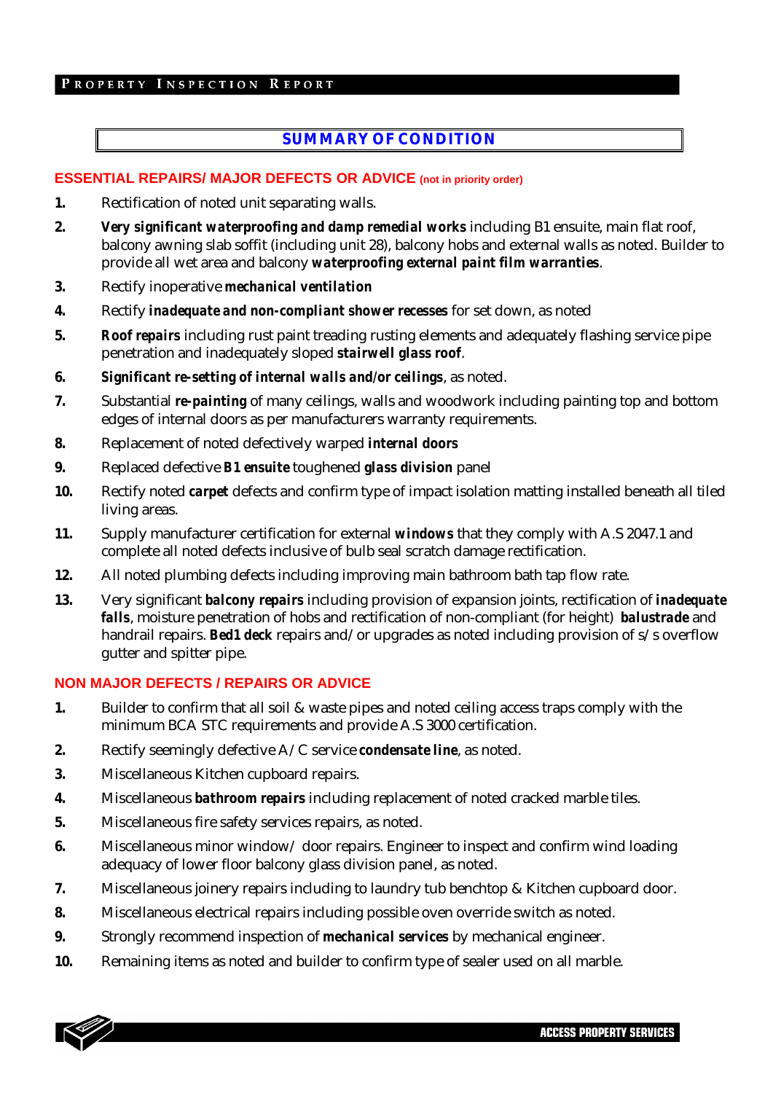## **SUMMARY OF CONDITION**

#### **ESSENTIAL REPAIRS/ MAJOR DEFECTS OR ADVICE (not in priority order)**

- **1.** Rectification of noted unit separating walls.
- **2.** *Very significant waterproofing and damp remedial works* including B1 ensuite, main flat roof, balcony awning slab soffit (including unit 28), balcony hobs and external walls as noted. Builder to provide all wet area and balcony *waterproofing external paint film warranties*.
- **3.** Rectify inoperative *mechanical ventilation*
- **4.** Rectify *inadequate and non-compliant shower recesses* for set down, as noted
- **5.** *Roof repairs* including rust paint treading rusting elements and adequately flashing service pipe penetration and inadequately sloped *stairwell glass roof*.
- **6.** *Significant re-setting of internal walls and/or ceilings*, as noted.
- **7.** Substantial *re-painting* of many ceilings, walls and woodwork including painting top and bottom edges of internal doors as per manufacturers warranty requirements.
- **8.** Replacement of noted defectively warped *internal doors*
- **9.** Replaced defective *B1 ensuite* toughened *glass division* panel
- **10.** Rectify noted *carpet* defects and confirm type of impact isolation matting installed beneath all tiled living areas.
- **11.** Supply manufacturer certification for external *windows* that they comply with A.S 2047.1 and complete all noted defects inclusive of bulb seal scratch damage rectification.
- **12.** All noted plumbing defects including improving main bathroom bath tap flow rate.
- **13.** Very significant *balcony repairs* including provision of expansion joints, rectification of *inadequate falls*, moisture penetration of hobs and rectification of non-compliant (for height) *balustrade* and handrail repairs. *Bed1 deck* repairs and/or upgrades as noted including provision of s/s overflow gutter and spitter pipe.

#### **NON MAJOR DEFECTS / REPAIRS OR ADVICE**

- **1.** Builder to confirm that all soil & waste pipes and noted ceiling access traps comply with the minimum BCA STC requirements and provide A.S 3000 certification.
- **2.** Rectify seemingly defective A/C service *condensate line*, as noted.
- **3.** Miscellaneous Kitchen cupboard repairs.
- **4.** Miscellaneous *bathroom repairs* including replacement of noted cracked marble tiles.
- **5.** Miscellaneous fire safety services repairs, as noted.
- **6.** Miscellaneous minor window/ door repairs. Engineer to inspect and confirm wind loading adequacy of lower floor balcony glass division panel, as noted.
- **7.** Miscellaneous joinery repairs including to laundry tub benchtop & Kitchen cupboard door.
- **8.** Miscellaneous electrical repairs including possible oven override switch as noted.
- **9.** Strongly recommend inspection of *mechanical services* by mechanical engineer.
- **10.** Remaining items as noted and builder to confirm type of sealer used on all marble.

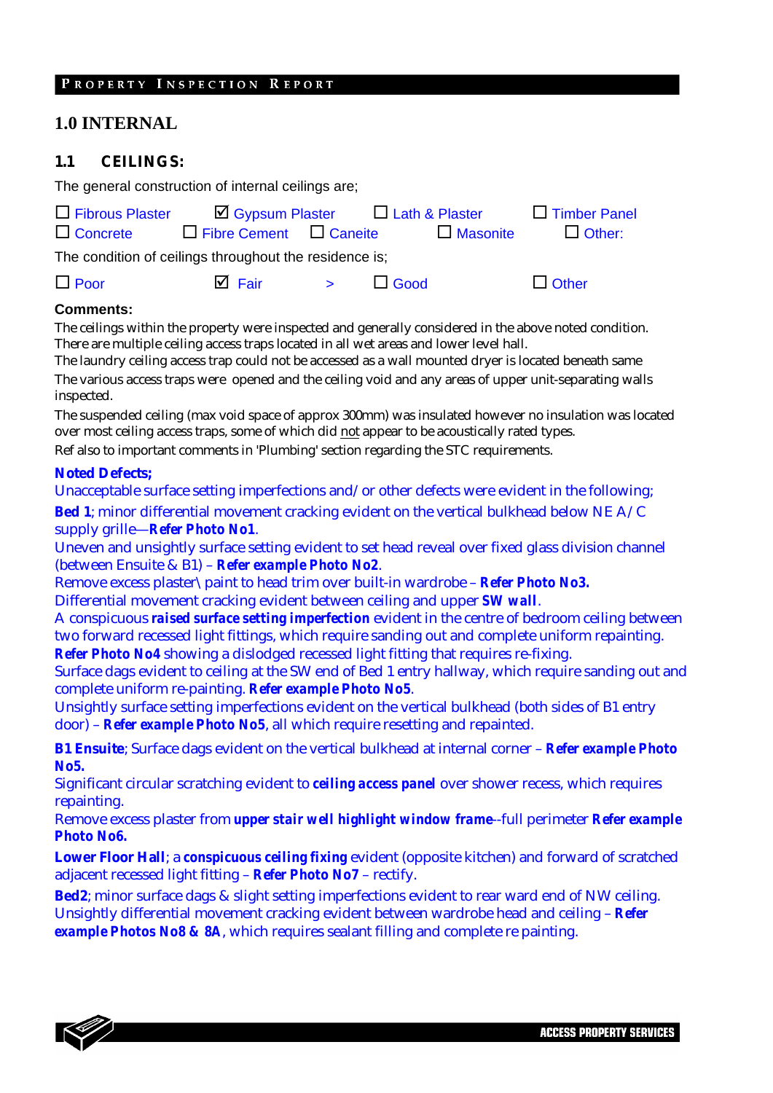# **1.0 INTERNAL**

#### **1.1 CEILINGS:**

The general construction of internal ceilings are;

| $\Box$ Fibrous Plaster                                 | $\Box$ Gypsum Plaster $\Box$ Lath & Plaster |                   |             |                 | $\Box$ Timber Panel |  |  |
|--------------------------------------------------------|---------------------------------------------|-------------------|-------------|-----------------|---------------------|--|--|
| $\Box$ Concrete                                        | $\Box$ Fibre Cement $\Box$ Caneite          |                   |             | $\Box$ Masonite | $\Box$ Other:       |  |  |
| The condition of ceilings throughout the residence is; |                                             |                   |             |                 |                     |  |  |
| $\Box$ Poor                                            | $\overline{\mathsf{M}}$ Fair                | $\sim$ $>$ $\sim$ | $\Box$ Good |                 | $\Box$ Other        |  |  |

#### **Comments:**

The ceilings within the property were inspected and generally considered in the above noted condition. There are multiple ceiling access traps located in all wet areas and lower level hall.

The laundry ceiling access trap could not be accessed as a wall mounted dryer is located beneath same The various access traps were opened and the ceiling void and any areas of upper unit-separating walls inspected.

The suspended ceiling (max void space of approx 300mm) was insulated however no insulation was located over most ceiling access traps, some of which did not appear to be acoustically rated types.

Ref also to important comments in 'Plumbing' section regarding the STC requirements.

#### **Noted Defects;**

Unacceptable surface setting imperfections and/or other defects were evident in the following; **Bed 1**; minor differential movement cracking evident on the vertical bulkhead below NE A/C supply grille—*Refer Photo No1*.

Uneven and unsightly surface setting evident to set head reveal over fixed glass division channel (between Ensuite & B1) – *Refer example Photo No2*.

Remove excess plaster\paint to head trim over built-in wardrobe – *Refer Photo No3.*  Differential movement cracking evident between ceiling and upper *SW wall*.

A conspicuous *raised surface setting imperfection* evident in the centre of bedroom ceiling between two forward recessed light fittings, which require sanding out and complete uniform repainting. *Refer Photo No4* showing a dislodged recessed light fitting that requires re-fixing.

Surface dags evident to ceiling at the SW end of Bed 1 entry hallway, which require sanding out and complete uniform re-painting. *Refer example Photo No5*.

Unsightly surface setting imperfections evident on the vertical bulkhead (both sides of B1 entry door) – *Refer example Photo No5*, all which require resetting and repainted.

**B1 Ensuite**; Surface dags evident on the vertical bulkhead at internal corner – *Refer example Photo No5.*

Significant circular scratching evident to *ceiling access panel* over shower recess, which requires repainting.

Remove excess plaster from *upper stair well highlight window frame*--full perimeter *Refer example Photo No6.*

**Lower Floor Hall**; a *conspicuous ceiling fixing* evident (opposite kitchen) and forward of scratched adjacent recessed light fitting – *Refer Photo No7* – rectify.

**Bed2**; minor surface dags & slight setting imperfections evident to rear ward end of NW ceiling. Unsightly differential movement cracking evident between wardrobe head and ceiling – *Refer example Photos No8 & 8A*, which requires sealant filling and complete re painting.

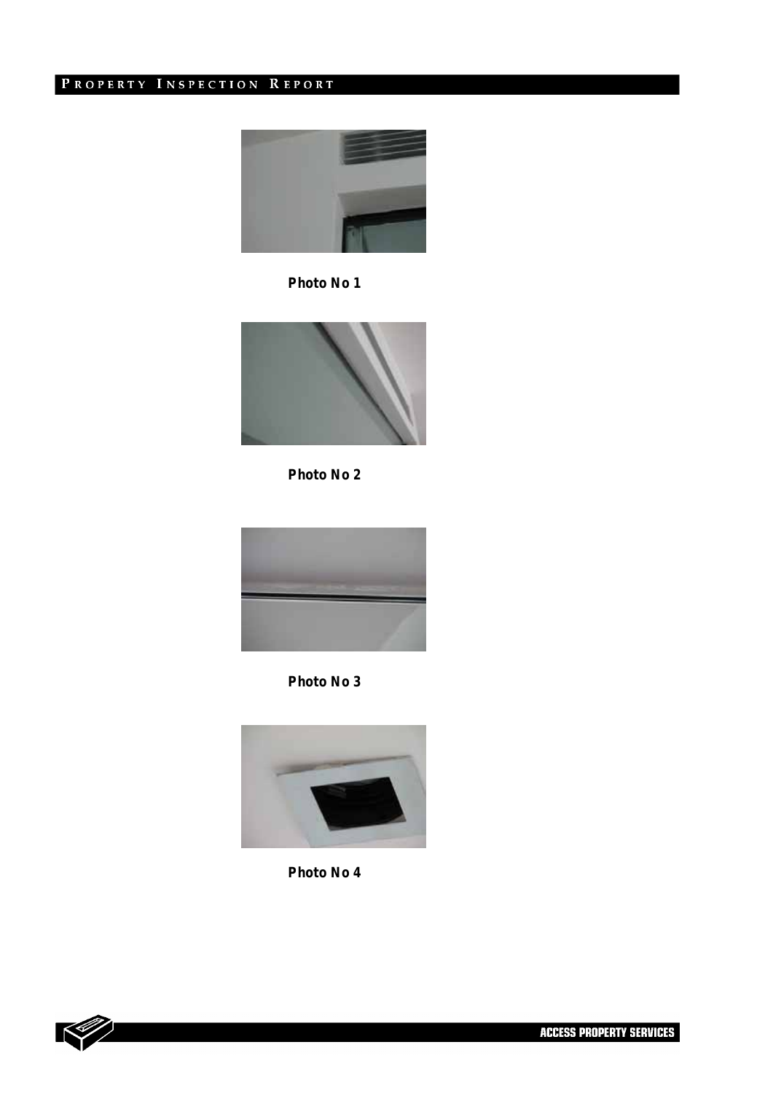

*Photo No 1* 



*Photo No 2* 



*Photo No 3* 



*Photo No 4* 

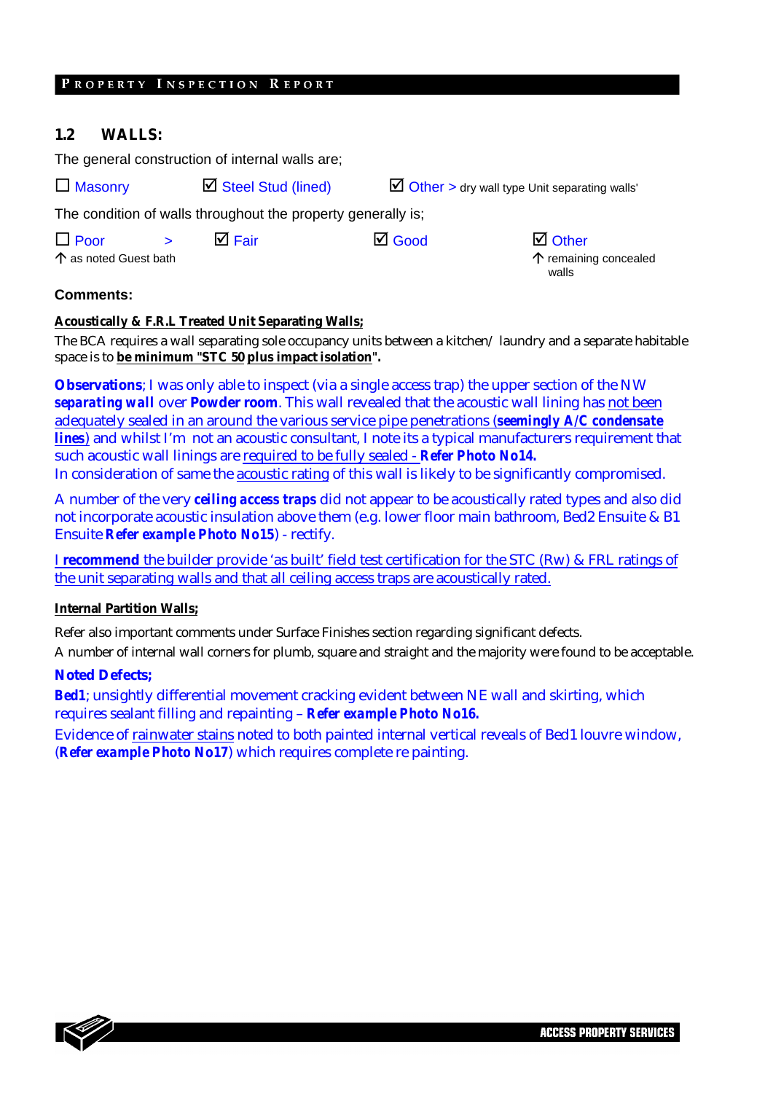#### **1.2 WALLS:**

The general construction of internal walls are;

 $\Box$  Masonry  $\Box$  Steel Stud (lined)  $\Box$  Other > dry wall type Unit separating walls'

The condition of walls throughout the property generally is;

 $\Box$  Poor  $\Box$  $\Box$  Fair  $\Box$  Good  $\Box$  Other

 $\uparrow$  as noted Guest bath

 $\uparrow$  remaining concealed walls

#### **Comments:**

#### **Acoustically & F.R.L Treated Unit Separating Walls;**

The BCA requires a wall separating sole occupancy units between a kitchen/ laundry and a separate habitable space is to **be minimum "STC 50 plus impact isolation".** 

**Observations**; I was only able to inspect (via a single access trap) the upper section of the NW *separating wall* over **Powder room**. This wall revealed that the acoustic wall lining has not been adequately sealed in an around the various service pipe penetrations (*seemingly A/C condensate lines*) and whilst I'm not an acoustic consultant, I note its a typical manufacturers requirement that such acoustic wall linings are required to be fully sealed - *Refer Photo No14.* In consideration of same the acoustic rating of this wall is likely to be significantly compromised.

A number of the very *ceiling access traps* did not appear to be acoustically rated types and also did not incorporate acoustic insulation above them (e.g. lower floor main bathroom, Bed2 Ensuite & B1 Ensuite *Refer example Photo No15*) - rectify.

I **recommend** the builder provide 'as built' field test certification for the STC (Rw) & FRL ratings of the unit separating walls and that all ceiling access traps are acoustically rated.

#### **Internal Partition Walls;**

Refer also important comments under Surface Finishes section regarding significant defects.

A number of internal wall corners for plumb, square and straight and the majority were found to be acceptable.

#### **Noted Defects;**

*Bed1*; unsightly differential movement cracking evident between NE wall and skirting, which requires sealant filling and repainting – *Refer example Photo No16.*

Evidence of rainwater stains noted to both painted internal vertical reveals of Bed1 louvre window, (*Refer example Photo No17*) which requires complete re painting.

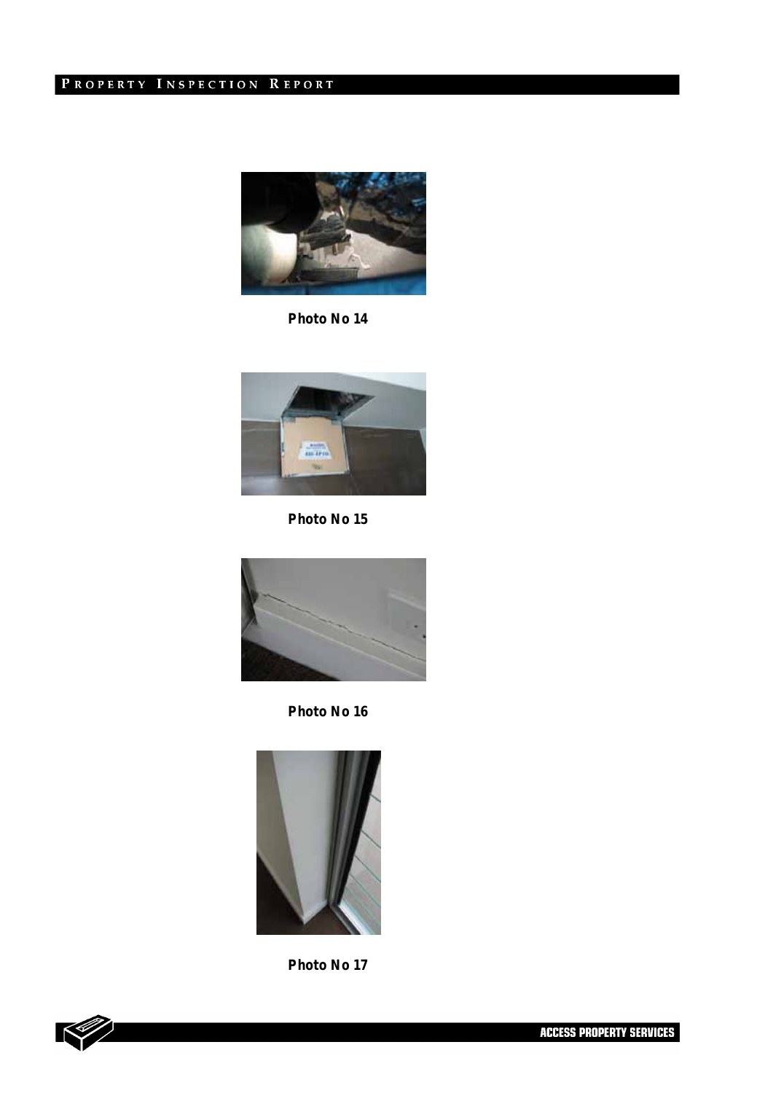

*Photo No 14* 



*Photo No 15* 



*Photo No 16* 



*Photo No 17* 

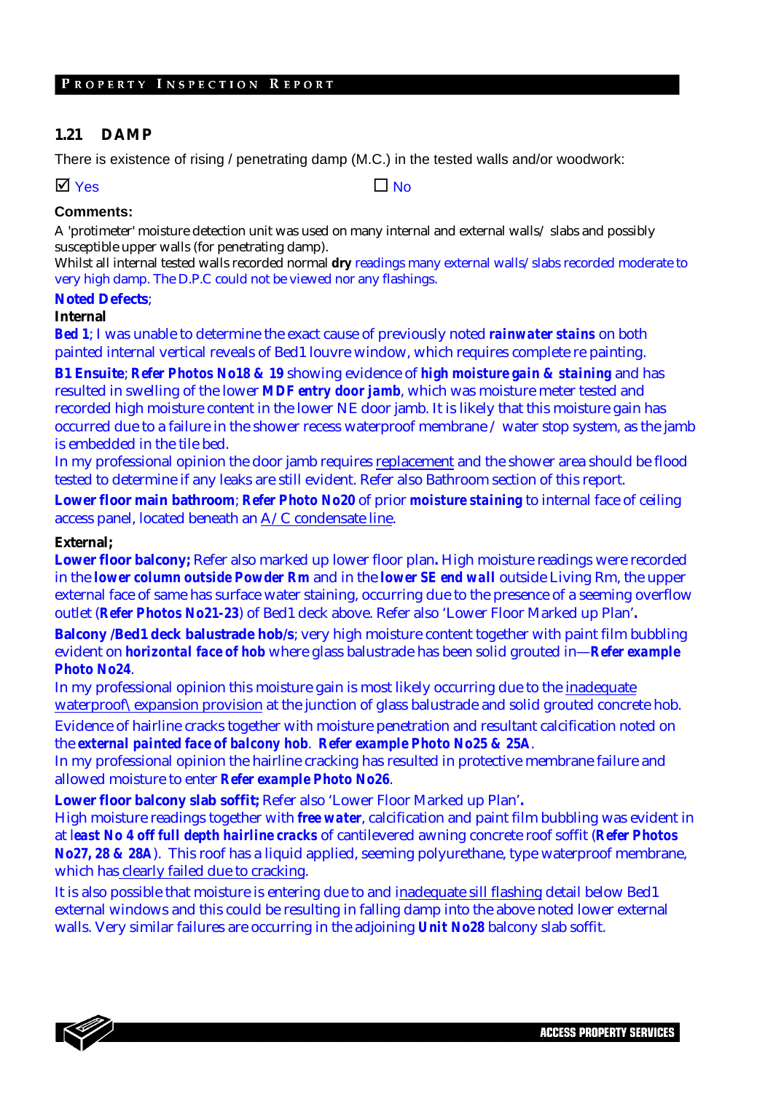#### **1.21 DAMP**

There is existence of rising / penetrating damp (M.C.) in the tested walls and/or woodwork:

 $\Box$  Yes  $\Box$  No

#### **Comments:**

A 'protimeter' moisture detection unit was used on many internal and external walls/ slabs and possibly susceptible upper walls (for penetrating damp).

Whilst all internal tested walls recorded normal **dry** readings many external walls/slabs recorded moderate to very high damp. The D.P.C could not be viewed nor any flashings.

#### **Noted Defects**;

#### **Internal**

*Bed 1*; I was unable to determine the exact cause of previously noted *rainwater stains* on both painted internal vertical reveals of Bed1 louvre window, which requires complete re painting.

**B1 Ensuite**; *Refer Photos No18 & 19* showing evidence of *high moisture gain & staining* and has resulted in swelling of the lower *MDF entry door jamb*, which was moisture meter tested and recorded high moisture content in the lower NE door jamb. It is likely that this moisture gain has occurred due to a failure in the shower recess waterproof membrane / water stop system, as the jamb is embedded in the tile bed.

In my professional opinion the door jamb requires replacement and the shower area should be flood tested to determine if any leaks are still evident. Refer also Bathroom section of this report.

**Lower floor main bathroom**; *Refer Photo No20* of prior *moisture staining* to internal face of ceiling access panel, located beneath an A/C condensate line.

#### **External;**

**Lower floor balcony;** Refer also marked up lower floor plan**.** High moisture readings were recorded in the *lower column outside Powder Rm* and in the *lower SE end wall* outside Living Rm, the upper external face of same has surface water staining, occurring due to the presence of a seeming overflow outlet (*Refer Photos No21-23*) of Bed1 deck above. Refer also 'Lower Floor Marked up Plan'**.**

**Balcony /Bed1 deck balustrade hob/s**; very high moisture content together with paint film bubbling evident on *horizontal face of hob* where glass balustrade has been solid grouted in—*Refer example Photo No24*.

In my professional opinion this moisture gain is most likely occurring due to the inadequate waterproof\expansion provision at the junction of glass balustrade and solid grouted concrete hob.

Evidence of hairline cracks together with moisture penetration and resultant calcification noted on the *external painted face of balcony hob*. *Refer example Photo No25 & 25A*.

In my professional opinion the hairline cracking has resulted in protective membrane failure and allowed moisture to enter *Refer example Photo No26*.

**Lower floor balcony slab soffit;** Refer also 'Lower Floor Marked up Plan'**.** 

High moisture readings together with *free water*, calcification and paint film bubbling was evident in at l*east No 4 off full depth hairline cracks* of cantilevered awning concrete roof soffit (*Refer Photos No27, 28 & 28A*). This roof has a liquid applied, seeming polyurethane, type waterproof membrane, which has clearly failed due to cracking.

It is also possible that moisture is entering due to and inadequate sill flashing detail below Bed1 external windows and this could be resulting in falling damp into the above noted lower external walls. Very similar failures are occurring in the adjoining *Unit No28* balcony slab soffit.

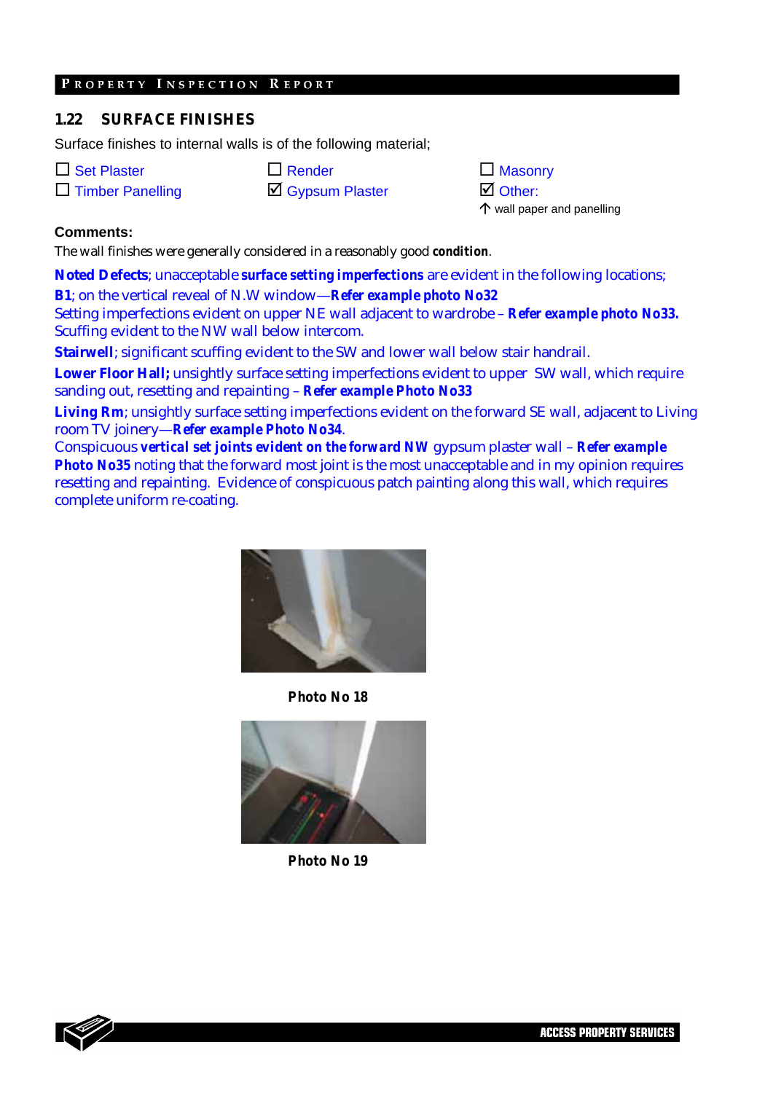#### **1.22 SURFACE FINISHES**

Surface finishes to internal walls is of the following material;

| $\Box$ Set Plaste |  |  |
|-------------------|--|--|
|-------------------|--|--|

|  | $\square$ Timber Panelling |  |
|--|----------------------------|--|

| $\Box$ Set Plaster      | $\Box$ Render    | $\Box$ Masonry     |
|-------------------------|------------------|--------------------|
| $\Box$ Timber Panelling | ☑ Gypsum Plaster | $\boxtimes$ Other: |

 $\uparrow$  wall paper and panelling

10

#### **Comments:**

The wall finishes were generally considered in a reasonably good *condition*.

**Noted Defects**; unacceptable *surface setting imperfections* are evident in the following locations; **B1**; on the vertical reveal of N.W window—*Refer example photo No32* 

Setting imperfections evident on upper NE wall adjacent to wardrobe – *Refer example photo No33.*  Scuffing evident to the NW wall below intercom.

**Stairwell**; significant scuffing evident to the SW and lower wall below stair handrail.

**Lower Floor Hall;** unsightly surface setting imperfections evident to upper SW wall, which require sanding out, resetting and repainting – *Refer example Photo No33*

**Living Rm**; unsightly surface setting imperfections evident on the forward SE wall, adjacent to Living room TV joinery—*Refer example Photo No34*.

Conspicuous *vertical set joints evident on the forward NW* gypsum plaster wall – *Refer example Photo No35* noting that the forward most joint is the most unacceptable and in my opinion requires resetting and repainting. Evidence of conspicuous patch painting along this wall, which requires complete uniform re-coating.



*Photo No 18* 



*Photo No 19* 

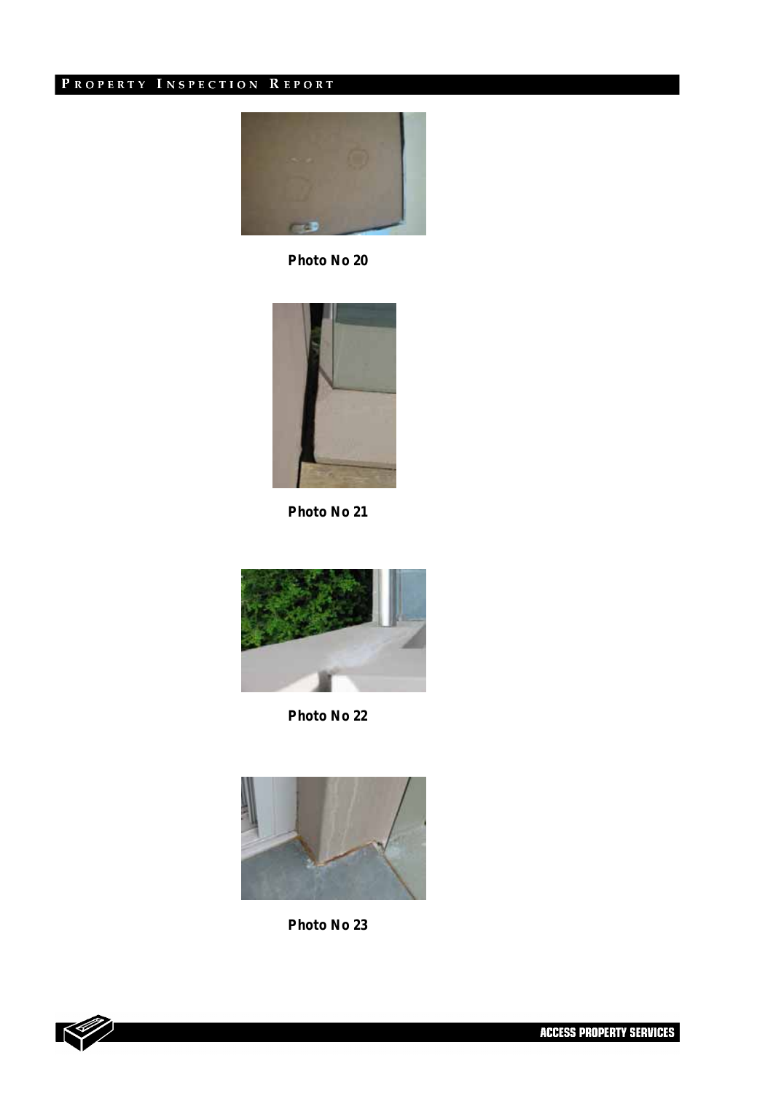

*Photo No 20* 



*Photo No 21* 



*Photo No 22* 



*Photo No 23* 



l 11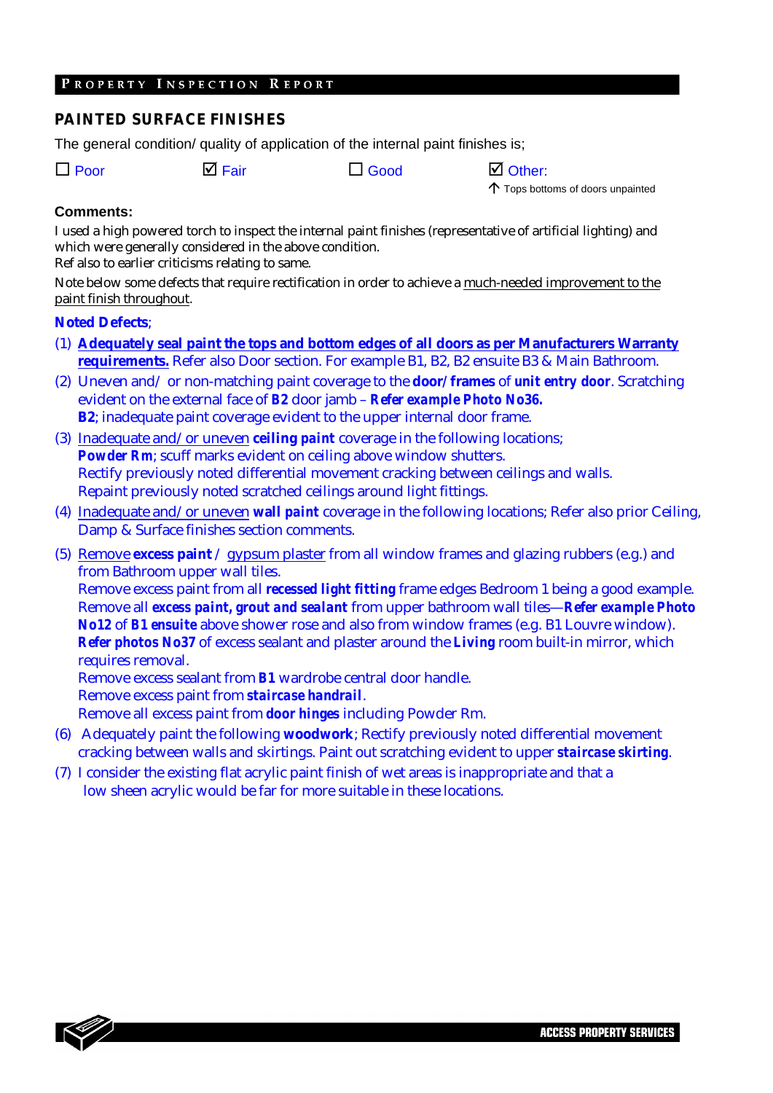#### **PAINTED SURFACE FINISHES**

The general condition/ quality of application of the internal paint finishes is;

 $\Box$  Poor  $\Box$  Fair  $\Box$  Good  $\Box$  Other:

 $\uparrow$  Tops bottoms of doors unpainted

l -

#### **Comments:**

I used a high powered torch to inspect the internal paint finishes (representative of artificial lighting) and which were generally considered in the above condition.

Ref also to earlier criticisms relating to same.

Note below some defects that require rectification in order to achieve a much-needed improvement to the paint finish throughout.

#### **Noted Defects**;

- (1) **Adequately seal paint the tops and bottom edges of all doors as per Manufacturers Warranty requirements.** Refer also Door section. For example B1, B2, B2 ensuite B3 & Main Bathroom.
- (2) Uneven and/ or non-matching paint coverage to the **door/ frames** of *unit entry door*. Scratching evident on the external face of *B2* door jamb – *Refer example Photo No36.* **B2**; inadequate paint coverage evident to the upper internal door frame.
- (3) Inadequate and/or uneven **ceiling** *paint* coverage in the following locations; *Powder Rm*; scuff marks evident on ceiling above window shutters. Rectify previously noted differential movement cracking between ceilings and walls. Repaint previously noted scratched ceilings around light fittings.
- (4) Inadequate and/or uneven **wall** *paint* coverage in the following locations; Refer also prior Ceiling, Damp & Surface finishes section comments.
- (5) Remove **excess paint** / gypsum plaster from all window frames and glazing rubbers (e.g.) and from Bathroom upper wall tiles.

Remove excess paint from all *recessed light fitting* frame edges Bedroom 1 being a good example. Remove all *excess paint, grout and sealant* from upper bathroom wall tiles—*Refer example Photo No12* of *B1 ensuite* above shower rose and also from window frames (e.g. B1 Louvre window). *Refer photos No37* of excess sealant and plaster around the *Living* room built-in mirror, which requires removal.

Remove excess sealant from *B1* wardrobe central door handle. Remove excess paint from *staircase handrail*.

Remove all excess paint from *door hinges* including Powder Rm.

- (6) Adequately paint the following **woodwork**; Rectify previously noted differential movement cracking between walls and skirtings. Paint out scratching evident to upper *staircase skirting*.
- (7) I consider the existing flat acrylic paint finish of wet areas is inappropriate and that a low sheen acrylic would be far for more suitable in these locations.

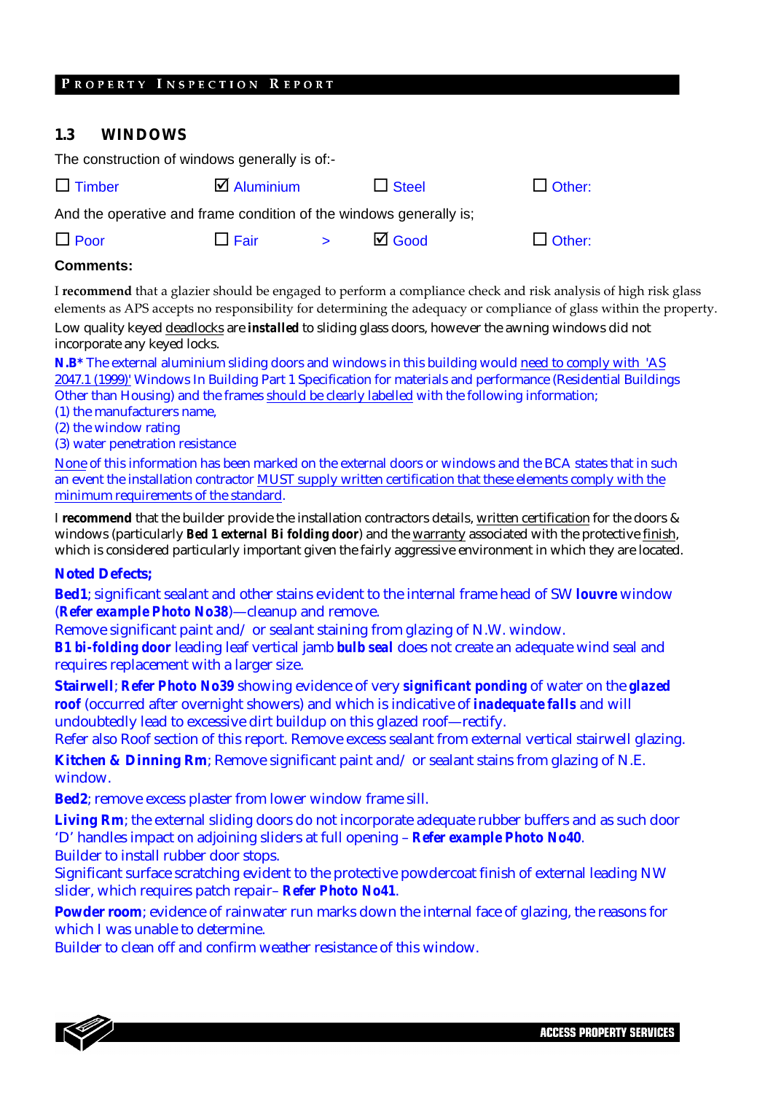#### **1.3 WINDOWS**

| The construction of windows generally is of:-                      |                       |        |                  |               |  |  |
|--------------------------------------------------------------------|-----------------------|--------|------------------|---------------|--|--|
| $\Box$ Timber                                                      | $\boxtimes$ Aluminium |        | $\Box$ Steel     | $\Box$ Other: |  |  |
| And the operative and frame condition of the windows generally is; |                       |        |                  |               |  |  |
| $\Box$ Poor                                                        | $\Box$ Fair           | $\geq$ | $\boxtimes$ Good | $\Box$ Other: |  |  |

#### **Comments:**

I **recommend** that a glazier should be engaged to perform a compliance check and risk analysis of high risk glass elements as APS accepts no responsibility for determining the adequacy or compliance of glass within the property.

Low quality keyed deadlocks are *installed* to sliding glass doors, however the awning windows did not incorporate any keyed locks.

**N.B\*** The external aluminium sliding doors and windows in this building would need to comply with 'AS 2047.1 (1999)' Windows In Building Part 1 Specification for materials and performance (Residential Buildings Other than Housing) and the frames should be clearly labelled with the following information;

- (1) the manufacturers name,
- (2) the window rating
- (3) water penetration resistance

None of this information has been marked on the external doors or windows and the BCA states that in such an event the installation contractor MUST supply written certification that these elements comply with the minimum requirements of the standard.

I **recommend** that the builder provide the installation contractors details, written certification for the doors & windows (particularly *Bed 1 external Bi folding door*) and the warranty associated with the protective finish, which is considered particularly important given the fairly aggressive environment in which they are located.

#### **Noted Defects;**

**Bed1**; significant sealant and other stains evident to the internal frame head of SW *louvre* window (*Refer example Photo No38*)—cleanup and remove.

Remove significant paint and/ or sealant staining from glazing of N.W. window.

*B1 bi-folding door* leading leaf vertical jamb *bulb seal* does not create an adequate wind seal and requires replacement with a larger size.

**Stairwell**; *Refer Photo No39* showing evidence of very *significant ponding* of water on the *glazed roof* (occurred after overnight showers) and which is indicative of *inadequate falls* and will undoubtedly lead to excessive dirt buildup on this glazed roof—rectify.

Refer also Roof section of this report. Remove excess sealant from external vertical stairwell glazing.

**Kitchen & Dinning Rm**; Remove significant paint and/ or sealant stains from glazing of N.E. window.

**Bed2**; remove excess plaster from lower window frame sill.

Living Rm; the external sliding doors do not incorporate adequate rubber buffers and as such door 'D' handles impact on adjoining sliders at full opening – *Refer example Photo No40*. Builder to install rubber door stops.

Significant surface scratching evident to the protective powdercoat finish of external leading NW slider, which requires patch repair– *Refer Photo No41*.

**Powder room**; evidence of rainwater run marks down the internal face of glazing, the reasons for which I was unable to determine.

Builder to clean off and confirm weather resistance of this window.



l -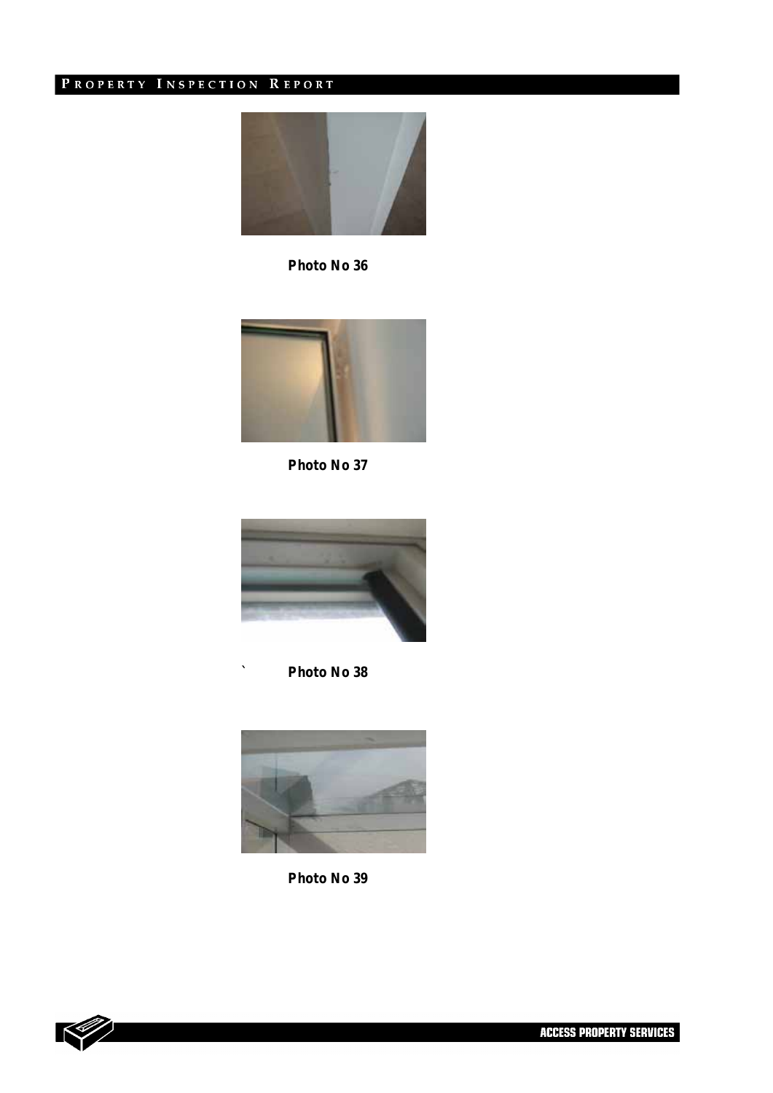

*Photo No 36* 



*Photo No 37* 



*` Photo No 38* 



*Photo No 39* 



l -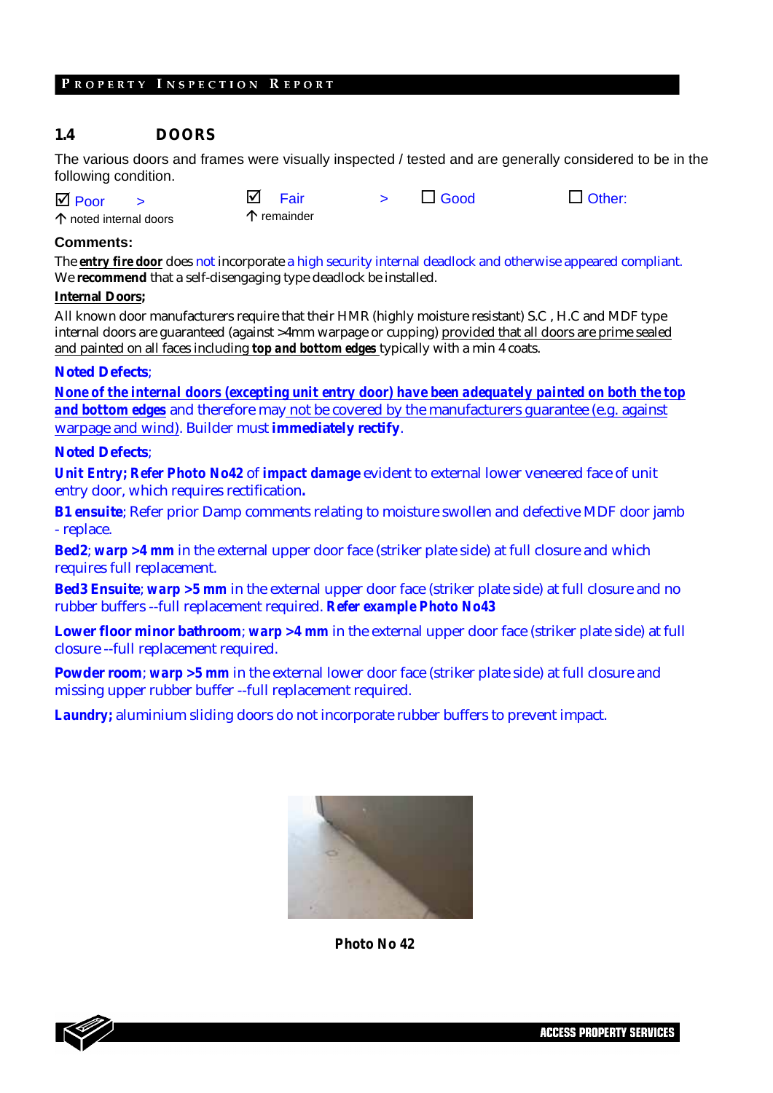#### **1.4 DOORS**

The various doors and frames were visually inspected / tested and are generally considered to be in the following condition.

| $\overline{\mathsf{M}}$ Poor    | M<br>Fair            | $\Box$ Good | $\Box$ Other: |
|---------------------------------|----------------------|-------------|---------------|
| $\uparrow$ noted internal doors | $\uparrow$ remainder |             |               |

#### **Comments:**

The *entry fire door* does not incorporate a high security internal deadlock and otherwise appeared compliant. We **recommend** that a self-disengaging type deadlock be installed.

#### **Internal Doors;**

All known door manufacturers require that their HMR (highly moisture resistant) S.C , H.C and MDF type internal doors are guaranteed (against >4mm warpage or cupping) provided that all doors are prime sealed and painted on all faces including *top and bottom edges* typically with a min 4 coats.

#### **Noted Defects**;

*None of the internal doors (excepting unit entry door) have been adequately painted on both the top and bottom edges* and therefore may not be covered by the manufacturers guarantee (e.g. against warpage and wind). Builder must **immediately rectify**.

#### **Noted Defects**;

*Unit Entry; Refer Photo No42* of *impact damage* evident to external lower veneered face of unit entry door, which requires rectification**.** 

**B1 ensuite**; Refer prior Damp comments relating to moisture swollen and defective MDF door jamb - replace.

**Bed2**; *warp >4 mm* in the external upper door face (striker plate side) at full closure and which requires full replacement.

**Bed3 Ensuite**; *warp >5 mm* in the external upper door face (striker plate side) at full closure and no rubber buffers --full replacement required. *Refer example Photo No43* 

**Lower floor minor bathroom**; *warp >4 mm* in the external upper door face (striker plate side) at full closure --full replacement required.

**Powder room**; *warp* >5 mm in the external lower door face (striker plate side) at full closure and missing upper rubber buffer --full replacement required.

*Laundry;* aluminium sliding doors do not incorporate rubber buffers to prevent impact.



*Photo No 42* 

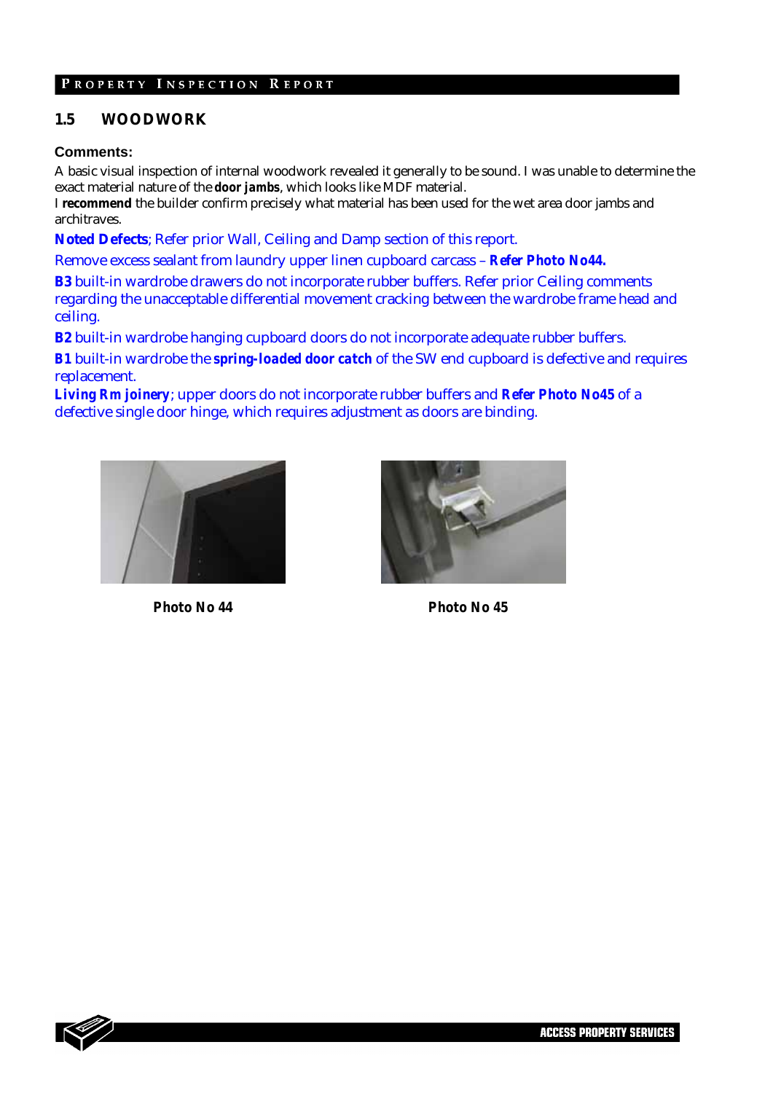#### **1.5 WOODWORK**

#### **Comments:**

A basic visual inspection of internal woodwork revealed it generally to be sound. I was unable to determine the exact material nature of the *door jambs*, which looks like MDF material.

I **recommend** the builder confirm precisely what material has been used for the wet area door jambs and architraves.

**Noted Defects**; Refer prior Wall, Ceiling and Damp section of this report.

Remove excess sealant from laundry upper linen cupboard carcass – *Refer Photo No44.* 

**B3** built-in wardrobe drawers do not incorporate rubber buffers. Refer prior Ceiling comments regarding the unacceptable differential movement cracking between the wardrobe frame head and ceiling.

**B2** built-in wardrobe hanging cupboard doors do not incorporate adequate rubber buffers.

*B1* built-in wardrobe the *spring-loaded door catch* of the SW end cupboard is defective and requires replacement.

*Living Rm joinery*; upper doors do not incorporate rubber buffers and *Refer Photo No45* of a defective single door hinge, which requires adjustment as doors are binding.





*Photo No 44 Photo No 45* 



**ACCESS PROPERTY SERVICES**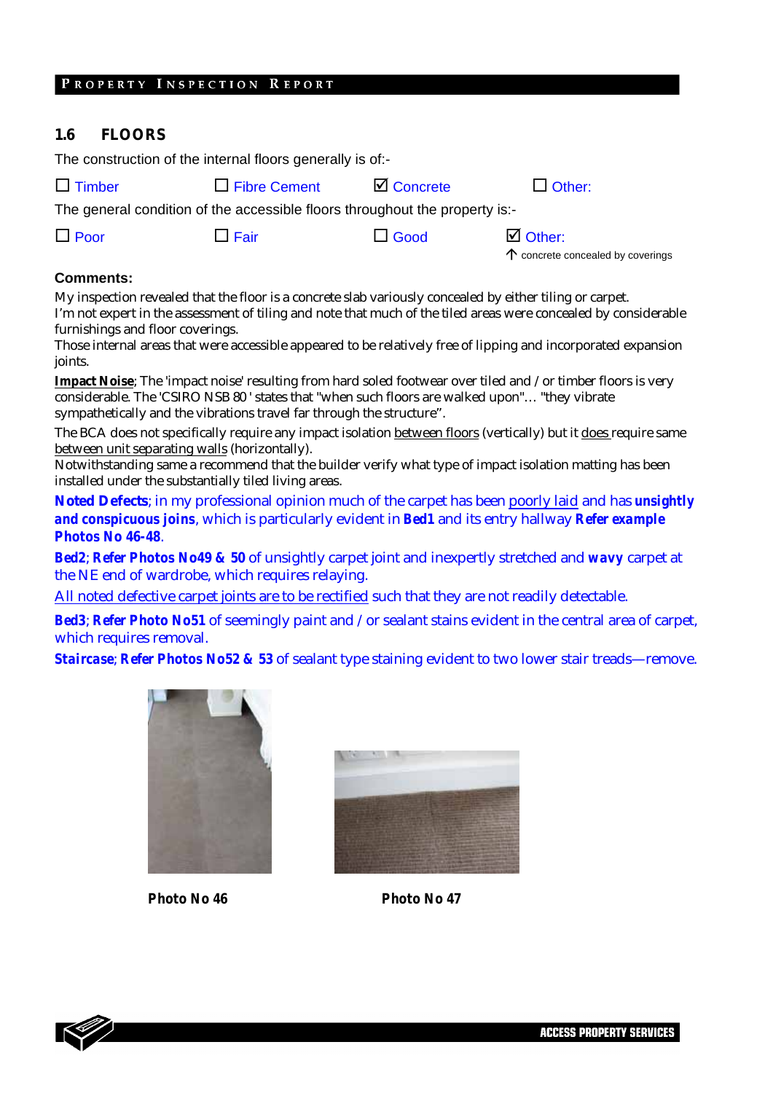#### **1.6 FLOORS**

The construction of the internal floors generally is of:-

| $\Box$ Timber |
|---------------|
|---------------|

 $\Box$  Fibre Cement  $\Box$  Concrete  $\Box$  Other:

l -

The general condition of the accessible floors throughout the property is:-

| $\Box$ Poor | $\Box$ Fair | $\Box$ Good | $\boxtimes$ Other:                         |
|-------------|-------------|-------------|--------------------------------------------|
|             |             |             | $\uparrow$ concrete concealed by coverings |

#### **Comments:**

My inspection revealed that the floor is a concrete slab variously concealed by either tiling or carpet. I'm not expert in the assessment of tiling and note that much of the tiled areas were concealed by considerable furnishings and floor coverings.

Those internal areas that were accessible appeared to be relatively free of lipping and incorporated expansion joints.

**Impact Noise**; The 'impact noise' resulting from hard soled footwear over tiled and /or timber floors is very considerable. The 'CSIRO NSB 80 ' states that "when such floors are walked upon"… "they vibrate sympathetically and the vibrations travel far through the structure".

The BCA does not specifically require any impact isolation between floors (vertically) but it does require same between unit separating walls (horizontally).

Notwithstanding same a recommend that the builder verify what type of impact isolation matting has been installed under the substantially tiled living areas.

**Noted Defects**; in my professional opinion much of the carpet has been poorly laid and has *unsightly and conspicuous joins*, which is particularly evident in *Bed1* and its entry hallway *Refer example Photos No 46-48*.

*Bed2*; *Refer Photos No49 & 50* of unsightly carpet joint and inexpertly stretched and *wavy* carpet at the NE end of wardrobe, which requires relaying.

All noted defective carpet joints are to be rectified such that they are not readily detectable.

*Bed3*; *Refer Photo No51* of seemingly paint and /or sealant stains evident in the central area of carpet, which requires removal.

*Staircase*; *Refer Photos No52 & 53* of sealant type staining evident to two lower stair treads—remove.



*Photo No 46 Photo No 47* 



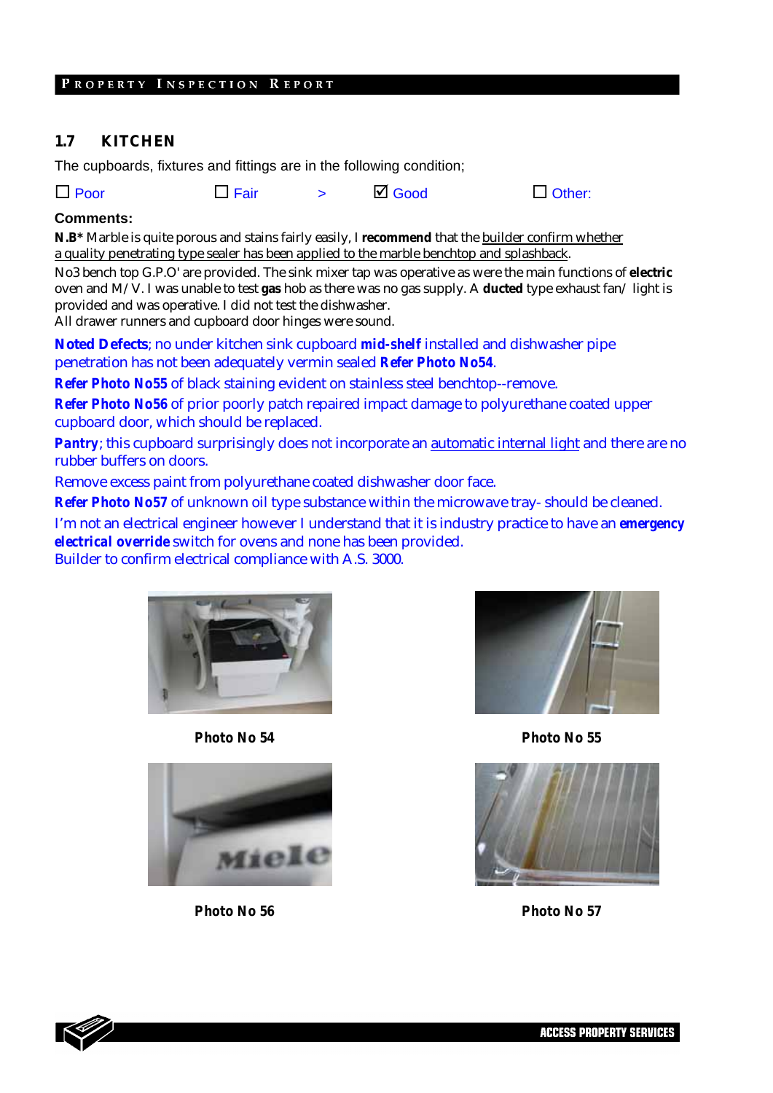#### **1.7 KITCHEN**

The cupboards, fixtures and fittings are in the following condition;

|  | $\Box$ Poor | $\Box$ Fair |  | $\boxtimes$ Good | $\Box$ Other: |
|--|-------------|-------------|--|------------------|---------------|
|--|-------------|-------------|--|------------------|---------------|

#### **Comments:**

**N.B\*** Marble is quite porous and stains fairly easily, I **recommend** that the builder confirm whether a quality penetrating type sealer has been applied to the marble benchtop and splashback.

No3 bench top G.P.O' are provided. The sink mixer tap was operative as were the main functions of **electric** oven and M/V. I was unable to test **gas** hob as there was no gas supply. A **ducted** type exhaust fan/ light is provided and was operative. I did not test the dishwasher.

All drawer runners and cupboard door hinges were sound.

**Noted Defects**; no under kitchen sink cupboard *mid-shelf* installed and dishwasher pipe penetration has not been adequately vermin sealed *Refer Photo No54*.

*Refer Photo No55* of black staining evident on stainless steel benchtop--remove.

*Refer Photo No56* of prior poorly patch repaired impact damage to polyurethane coated upper cupboard door, which should be replaced.

*Pantry*; this cupboard surprisingly does not incorporate an automatic internal light and there are no rubber buffers on doors.

Remove excess paint from polyurethane coated dishwasher door face.

*Refer Photo No57* of unknown oil type substance within the microwave tray- should be cleaned.

I'm not an electrical engineer however I understand that it is industry practice to have an *emergency electrical override* switch for ovens and none has been provided.

Builder to confirm electrical compliance with A.S. 3000.



*Photo No 54 Photo No 55*







*Photo No 56 Photo No 57*

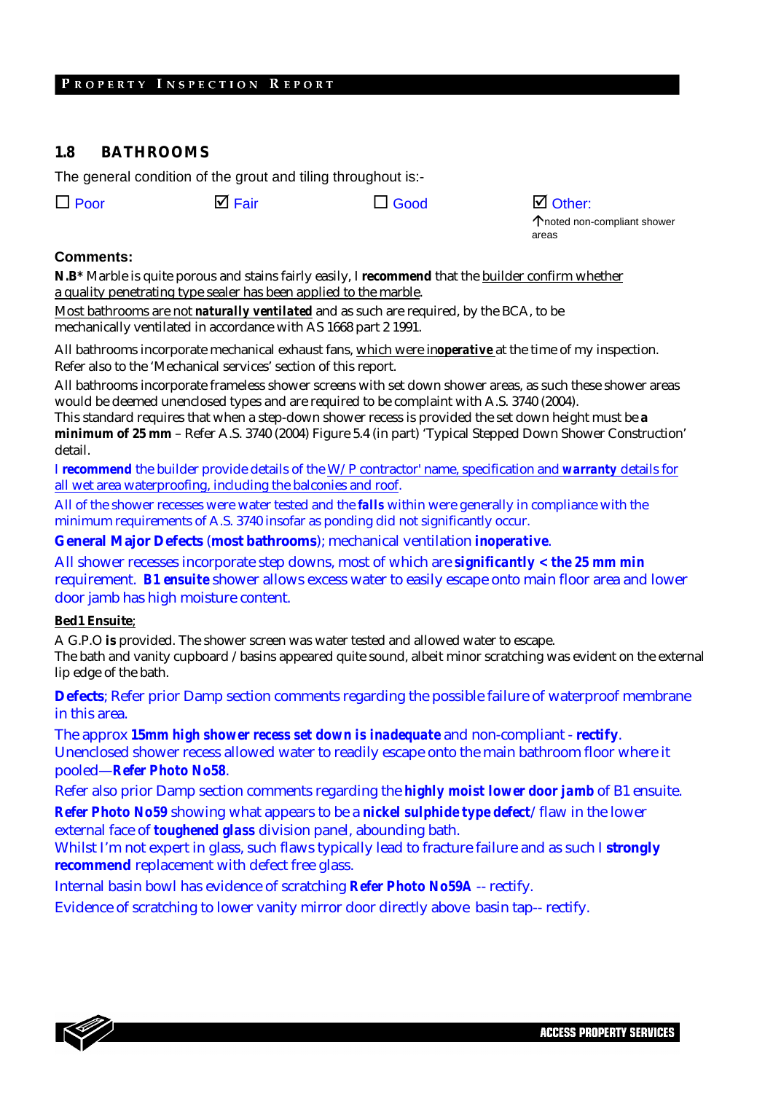#### **1.8 BATHROOMS**

The general condition of the grout and tiling throughout is:-

| $\Box$ Poor | <b>☑</b> Fair | $\Box$ Good | $\boxtimes$ Other: |
|-------------|---------------|-------------|--------------------|
|-------------|---------------|-------------|--------------------|

Çnoted non-compliant shower areas

l -

#### **Comments:**

**N.B\*** Marble is quite porous and stains fairly easily, I **recommend** that the builder confirm whether a quality penetrating type sealer has been applied to the marble.

Most bathrooms are not *naturally ventilated* and as such are required, by the BCA, to be mechanically ventilated in accordance with AS 1668 part 2 1991.

All bathrooms incorporate mechanical exhaust fans, which were *inoperative* at the time of my inspection. Refer also to the 'Mechanical services' section of this report.

All bathrooms incorporate frameless shower screens with set down shower areas, as such these shower areas would be deemed unenclosed types and are required to be complaint with A.S. 3740 (2004).

This standard requires that when a step-down shower recess is provided the set down height must be **a minimum of 25 mm** – Refer A.S. 3740 (2004) Figure 5.4 (in part) 'Typical Stepped Down Shower Construction' detail.

I **recommend** the builder provide details of the W/P contractor' name, specification and *warranty* details for all wet area waterproofing, including the balconies and roof.

All of the shower recesses were water tested and the *falls* within were generally in compliance with the minimum requirements of A.S. 3740 insofar as ponding did not significantly occur.

**General Major Defects** (**most bathrooms**); mechanical ventilation *inoperative*.

All shower recesses incorporate step downs, most of which are *significantly < the 25 mm min* requirement. *B1 ensuite* shower allows excess water to easily escape onto main floor area and lower door jamb has high moisture content.

#### **Bed1 Ensuite**;

A G.P.O **is** provided. The shower screen was water tested and allowed water to escape. The bath and vanity cupboard /basins appeared quite sound, albeit minor scratching was evident on the external lip edge of the bath.

**Defects**; Refer prior Damp section comments regarding the possible failure of waterproof membrane in this area.

The approx **15***mm high shower recess set down is inadequate* and non-compliant - **rectify**. Unenclosed shower recess allowed water to readily escape onto the main bathroom floor where it pooled—*Refer Photo No58*.

Refer also prior Damp section comments regarding the *highly moist lower door jamb* of B1 ensuite.

*Refer Photo No59* showing what appears to be a *nickel sulphide type defect*/flaw in the lower external face of *toughened glass* division panel, abounding bath.

Whilst I'm not expert in glass, such flaws typically lead to fracture failure and as such I **strongly recommend** replacement with defect free glass.

Internal basin bowl has evidence of scratching *Refer Photo No59A* -- rectify.

Evidence of scratching to lower vanity mirror door directly above basin tap-- rectify.

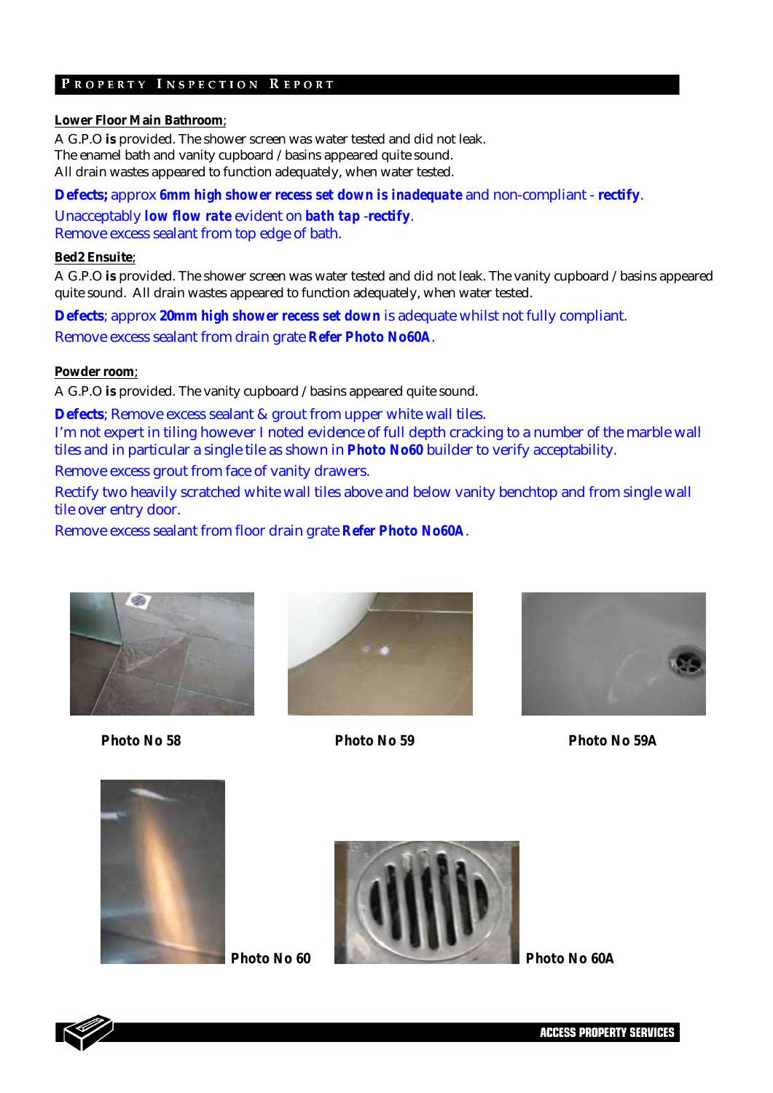#### **Lower Floor Main Bathroom**;

A G.P.O **is** provided. The shower screen was water tested and did not leak. The enamel bath and vanity cupboard /basins appeared quite sound. All drain wastes appeared to function adequately, when water tested.

**Defects;** approx *6mm high shower recess set down is inadequate* and non-compliant - **rectify**. Unacceptably *low flow rate* evident on *bath tap* -**rectify**. Remove excess sealant from top edge of bath.

#### **Bed2 Ensuite**;

A G.P.O **is** provided. The shower screen was water tested and did not leak. The vanity cupboard /basins appeared quite sound. All drain wastes appeared to function adequately, when water tested.

**Defects**; approx **20***mm high shower recess set down* is adequate whilst not fully compliant. Remove excess sealant from drain grate *Refer Photo No60A*.

#### **Powder room**;

A G.P.O **is** provided. The vanity cupboard /basins appeared quite sound.

**Defects**; Remove excess sealant & grout from upper white wall tiles. I'm not expert in tiling however I noted evidence of full depth cracking to a number of the marble wall tiles and in particular a single tile as shown in *Photo No60* builder to verify acceptability.

Remove excess grout from face of vanity drawers.

Rectify two heavily scratched white wall tiles above and below vanity benchtop and from single wall tile over entry door.

Remove excess sealant from floor drain grate *Refer Photo No60A*.







20

*Photo No 58 Photo No 59 Photo No 59A* 







**ACCESS PROPERTY SERVICES**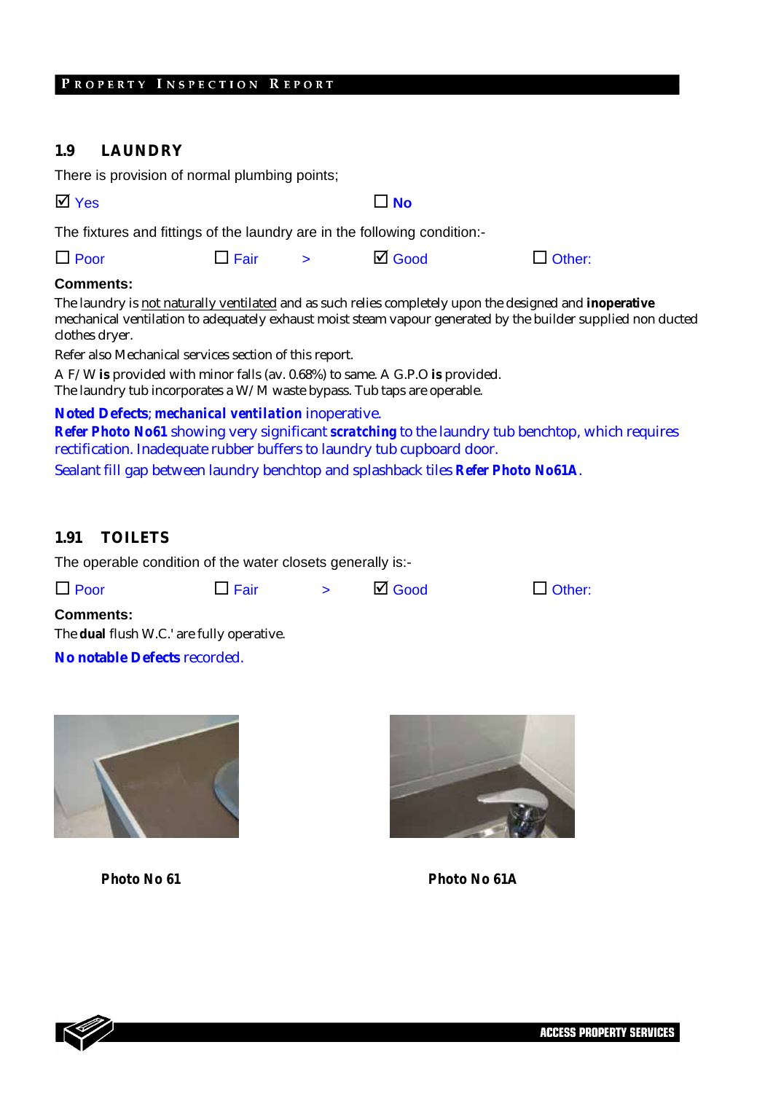#### **1.9 LAUNDRY**

| $\overline{M}$ Yes |  | $\Box$ No        |                                                                                                                                                                      |                                                                                                                                                                                                                                                                                                                                                                                                                                                                                                                                                                                                                                                                                                                                      |
|--------------------|--|------------------|----------------------------------------------------------------------------------------------------------------------------------------------------------------------|--------------------------------------------------------------------------------------------------------------------------------------------------------------------------------------------------------------------------------------------------------------------------------------------------------------------------------------------------------------------------------------------------------------------------------------------------------------------------------------------------------------------------------------------------------------------------------------------------------------------------------------------------------------------------------------------------------------------------------------|
|                    |  |                  |                                                                                                                                                                      |                                                                                                                                                                                                                                                                                                                                                                                                                                                                                                                                                                                                                                                                                                                                      |
|                    |  | $\boxtimes$ Good | $\Box$ Other:                                                                                                                                                        |                                                                                                                                                                                                                                                                                                                                                                                                                                                                                                                                                                                                                                                                                                                                      |
|                    |  |                  |                                                                                                                                                                      |                                                                                                                                                                                                                                                                                                                                                                                                                                                                                                                                                                                                                                                                                                                                      |
|                    |  |                  |                                                                                                                                                                      |                                                                                                                                                                                                                                                                                                                                                                                                                                                                                                                                                                                                                                                                                                                                      |
|                    |  | $\Box$ Fair >    | There is provision of normal plumbing points;<br>Refer also Mechanical services section of this report.<br><b>Noted Defects; mechanical ventilation inoperative.</b> | The fixtures and fittings of the laundry are in the following condition:-<br>The laundry is not naturally ventilated and as such relies completely upon the designed and inoperative<br>mechanical ventilation to adequately exhaust moist steam vapour generated by the builder supplied non ducted<br>A F/W is provided with minor falls (av. 0.68%) to same. A G.P.O is provided.<br>The laundry tub incorporates a $W/M$ waste bypass. Tub taps are operable.<br>Refer Photo No61 showing very significant scratching to the laundry tub benchtop, which requires<br>rectification. Inadequate rubber buffers to laundry tub cupboard door.<br>Sealant fill gap between laundry benchtop and splashback tiles Refer Photo No61A. |

# **1.91 TOILETS**

The operable condition of the water closets generally is:-

 $\Box$  Poor  $\Box$  Fair  $\Box$  Good  $\Box$  Other:

**Comments:**  The **dual** flush W.C.' are fully operative.

**No notable Defects** recorded.





*Photo No 61 Photo No 61A* 



**ACCESS PROPERTY SERVICES**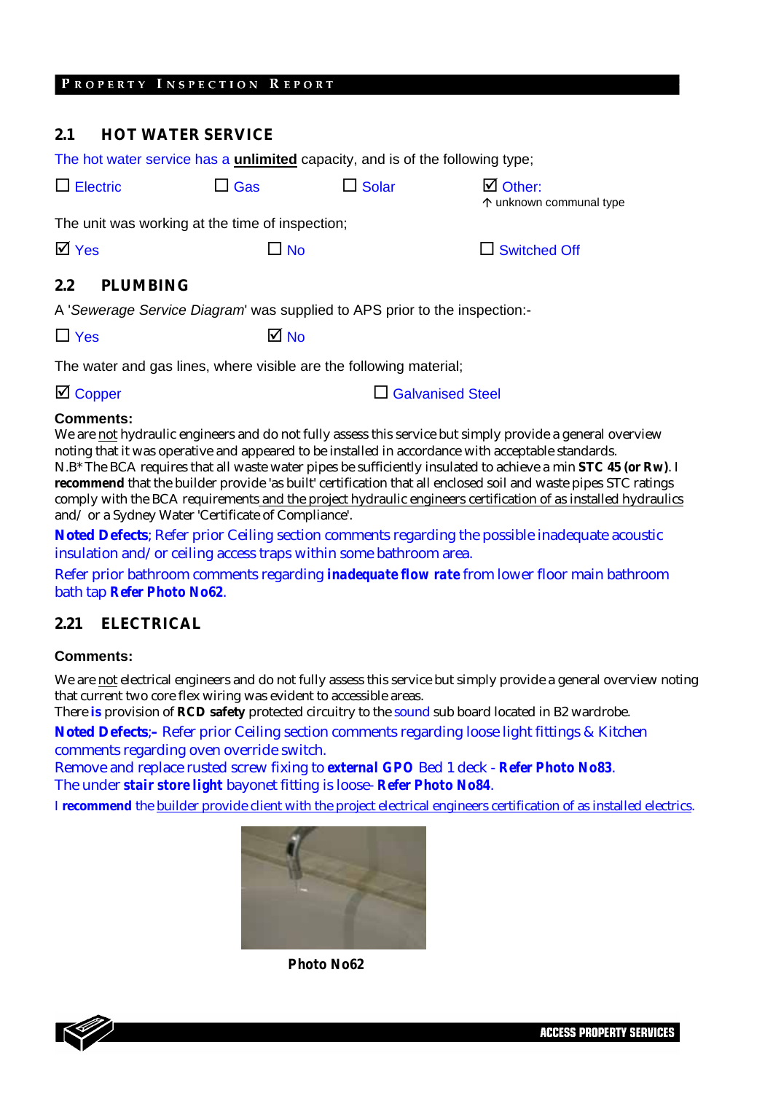#### **2.1 HOT WATER SERVICE**

| The hot water service has a <b>unlimited</b> capacity, and is of the following type; |              |              |                                               |
|--------------------------------------------------------------------------------------|--------------|--------------|-----------------------------------------------|
| $\Box$ Electric                                                                      | $\Box$ Gas   | $\Box$ Solar | $\boxtimes$ Other:<br>↑ unknown communal type |
| The unit was working at the time of inspection;                                      |              |              |                                               |
| $\overline{\mathsf{M}}$ Yes                                                          | $\square$ No |              | $\Box$ Switched Off                           |
| 2.2<br><b>PLUMBING</b>                                                               |              |              |                                               |
| A 'Sewerage Service Diagram' was supplied to APS prior to the inspection:-           |              |              |                                               |
| $\Box$ Yes                                                                           | M No         |              |                                               |

The water and gas lines, where visible are the following material;

 $\Box$  Copper Galvanised Steel

#### **Comments:**

We are not hydraulic engineers and do not fully assess this service but simply provide a general overview noting that it was operative and appeared to be installed in accordance with acceptable standards. N.B\* The BCA requires that all waste water pipes be sufficiently insulated to achieve a min **STC 45 (or Rw)**. I **recommend** that the builder provide 'as built' certification that all enclosed soil and waste pipes STC ratings comply with the BCA requirements and the project hydraulic engineers certification of as installed hydraulics and/ or a Sydney Water 'Certificate of Compliance'.

**Noted Defects**; Refer prior Ceiling section comments regarding the possible inadequate acoustic insulation and/or ceiling access traps within some bathroom area.

Refer prior bathroom comments regarding *inadequate flow rate* from lower floor main bathroom bath tap *Refer Photo No62*.

#### **2.21 ELECTRICAL**

#### **Comments:**

We are not electrical engineers and do not fully assess this service but simply provide a general overview noting that current two core flex wiring was evident to accessible areas.

There **is** provision of **RCD safety** protected circuitry to the sound sub board located in B2 wardrobe.

**Noted Defects**;**–** Refer prior Ceiling section comments regarding loose light fittings & Kitchen comments regarding oven override switch.

Remove and replace rusted screw fixing to *external GPO* Bed 1 deck - *Refer Photo No83*. The under *stair store light* bayonet fitting is loose- *Refer Photo No84*.

I **recommend** the builder provide client with the project electrical engineers certification of as installed electrics.



*Photo No62* 

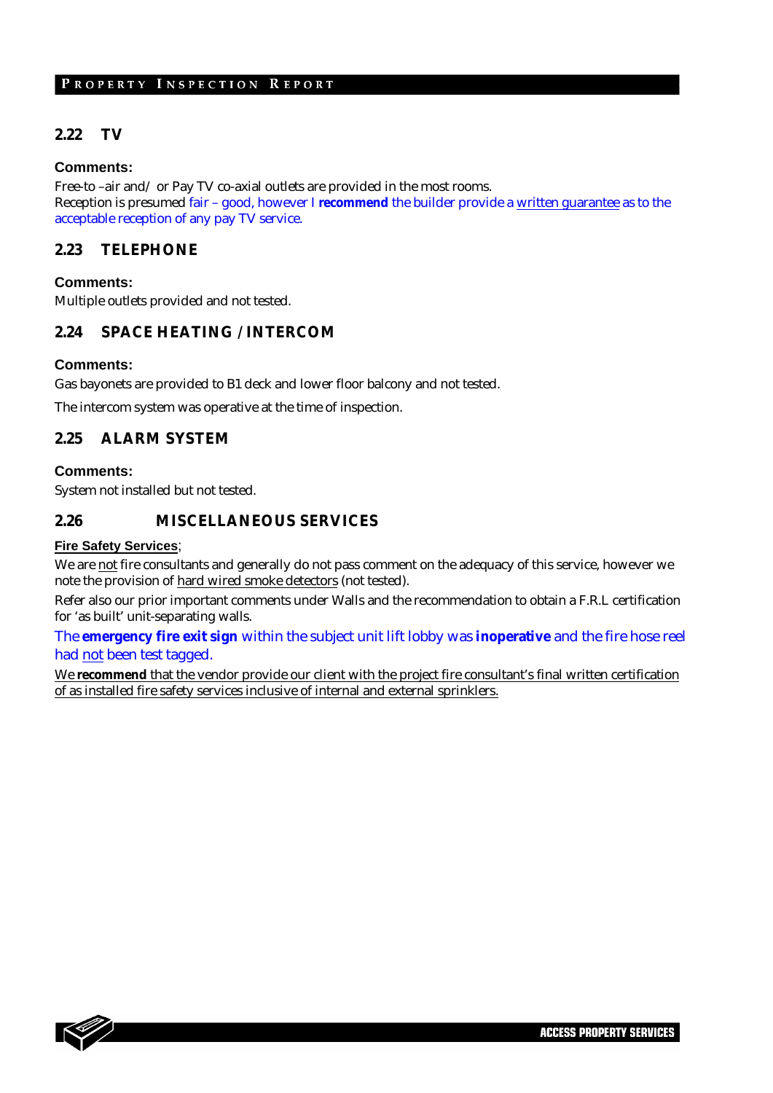#### **2.22 TV**

#### **Comments:**

Free-to –air and/ or Pay TV co-axial outlets are provided in the most rooms. Reception is presumed fair – good, however I **recommend** the builder provide a written guarantee as to the acceptable reception of any pay TV service.

#### **2.23 TELEPHONE**

#### **Comments:**

Multiple outlets provided and not tested.

#### **2.24 SPACE HEATING / INTERCOM**

#### **Comments:**

Gas bayonets are provided to B1 deck and lower floor balcony and not tested.

The intercom system was operative at the time of inspection.

#### **2.25 ALARM SYSTEM**

#### **Comments:**

System not installed but not tested.

#### **2.26 MISCELLANEOUS SERVICES**

#### **Fire Safety Services**;

We are not fire consultants and generally do not pass comment on the adequacy of this service, however we note the provision of hard wired smoke detectors (not tested).

Refer also our prior important comments under Walls and the recommendation to obtain a F.R.L certification for 'as built' unit-separating walls.

The **emergency fire exit sign** within the subject unit lift lobby was **inoperative** and the fire hose reel had not been test tagged.

We **recommend** that the vendor provide our client with the project fire consultant's final written certification of as installed fire safety services inclusive of internal and external sprinklers.

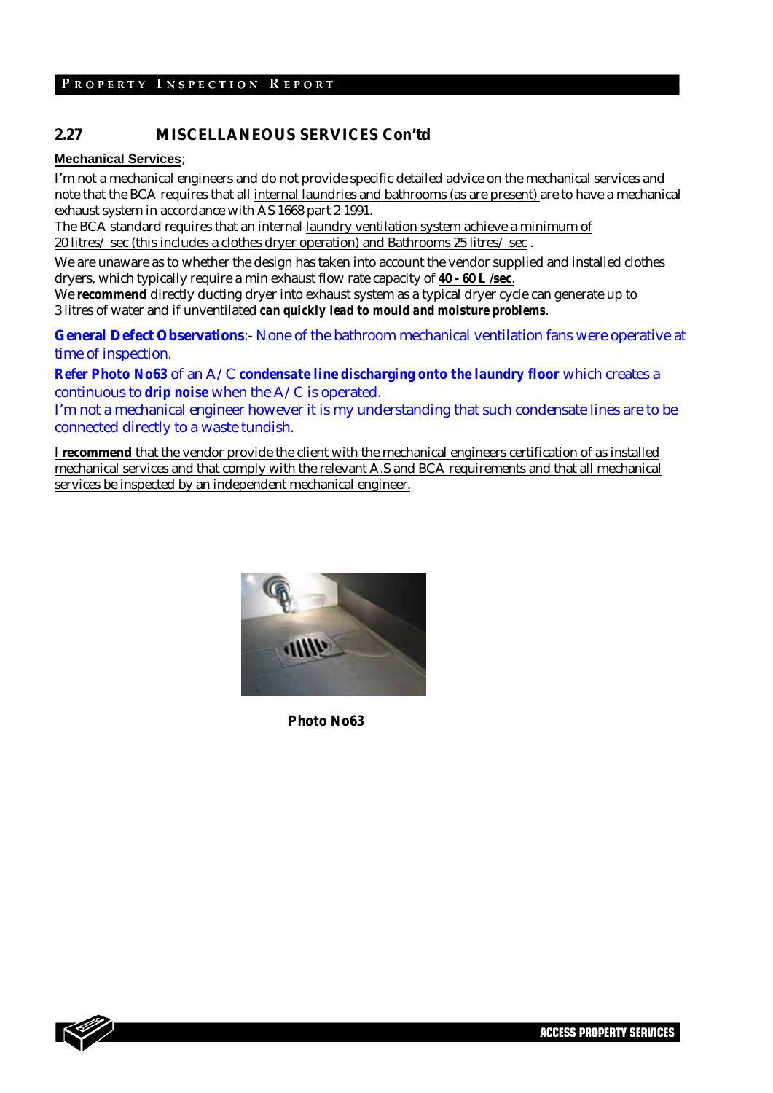### **2.27 MISCELLANEOUS SERVICES Con'td**

#### **Mechanical Services**;

I'm not a mechanical engineers and do not provide specific detailed advice on the mechanical services and note that the BCA requires that all internal laundries and bathrooms (as are present) are to have a mechanical exhaust system in accordance with AS 1668 part 2 1991.

The BCA standard requires that an internal laundry ventilation system achieve a minimum of 20 litres/ sec (this includes a clothes dryer operation) and Bathrooms 25 litres/ sec .

We are unaware as to whether the design has taken into account the vendor supplied and installed clothes dryers, which typically require a min exhaust flow rate capacity of **40 - 60 L /sec**.

We **recommend** directly ducting dryer into exhaust system as a typical dryer cycle can generate up to 3 litres of water and if unventilated *can quickly lead to mould and moisture problems*.

**General Defect Observations**:- None of the bathroom mechanical ventilation fans were operative at time of inspection.

*Refer Photo No63* of an A/C *condensate line discharging onto the laundry floor* which creates a continuous to *drip noise* when the A/C is operated.

I'm not a mechanical engineer however it is my understanding that such condensate lines are to be connected directly to a waste tundish.

I **recommend** that the vendor provide the client with the mechanical engineers certification of as installed mechanical services and that comply with the relevant A.S and BCA requirements and that all mechanical services be inspected by an independent mechanical engineer.



*Photo No63* 

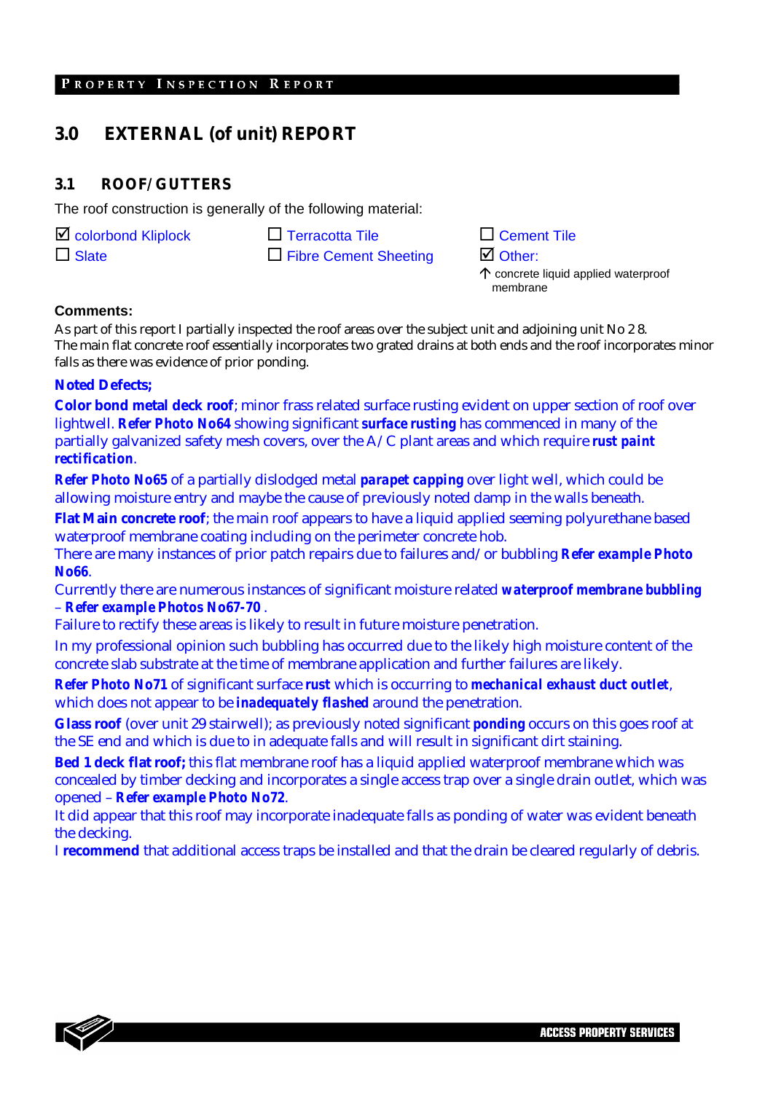# **3.0 EXTERNAL (of unit) REPORT**

#### **3.1 ROOF/ GUTTERS**

The roof construction is generally of the following material:

 $\Box$  colorbond Kliplock  $\Box$  Terracotta Tile

 $\Box$  Slate  $\Box$  Fibre Cement Sheeting

| $\square$ Cement Tile                         |
|-----------------------------------------------|
| $\boxtimes$ Other:                            |
| $\uparrow$ concrete liquid applied waterproof |

membrane

25

**Comments:** 

As part of this report I partially inspected the roof areas over the subject unit and adjoining unit No 2 8. The main flat concrete roof essentially incorporates two grated drains at both ends and the roof incorporates minor falls as there was evidence of prior ponding.

#### **Noted Defects;**

**Color bond metal deck roof**; minor frass related surface rusting evident on upper section of roof over lightwell. *Refer Photo No64* showing significant *surface rusting* has commenced in many of the partially galvanized safety mesh covers, over the A/C plant areas and which require *rust paint rectification*.

*Refer Photo No65* of a partially dislodged metal *parapet capping* over light well, which could be allowing moisture entry and maybe the cause of previously noted damp in the walls beneath.

**Flat Main concrete roof**; the main roof appears to have a liquid applied seeming polyurethane based waterproof membrane coating including on the perimeter concrete hob.

There are many instances of prior patch repairs due to failures and/or bubbling *Refer example Photo No66*.

Currently there are numerous instances of significant moisture related *waterproof membrane bubbling* – *Refer example Photos No67-70* .

Failure to rectify these areas is likely to result in future moisture penetration.

In my professional opinion such bubbling has occurred due to the likely high moisture content of the concrete slab substrate at the time of membrane application and further failures are likely.

*Refer Photo No71* of significant surface *rust* which is occurring to *mechanical exhaust duct outlet*, which does not appear to be *inadequately flashed* around the penetration.

**Glass roof** (over unit 29 stairwell); as previously noted significant *ponding* occurs on this goes roof at the SE end and which is due to in adequate falls and will result in significant dirt staining.

**Bed 1 deck flat roof;** this flat membrane roof has a liquid applied waterproof membrane which was concealed by timber decking and incorporates a single access trap over a single drain outlet, which was opened – *Refer example Photo No72*.

It did appear that this roof may incorporate inadequate falls as ponding of water was evident beneath the decking.

I **recommend** that additional access traps be installed and that the drain be cleared regularly of debris.

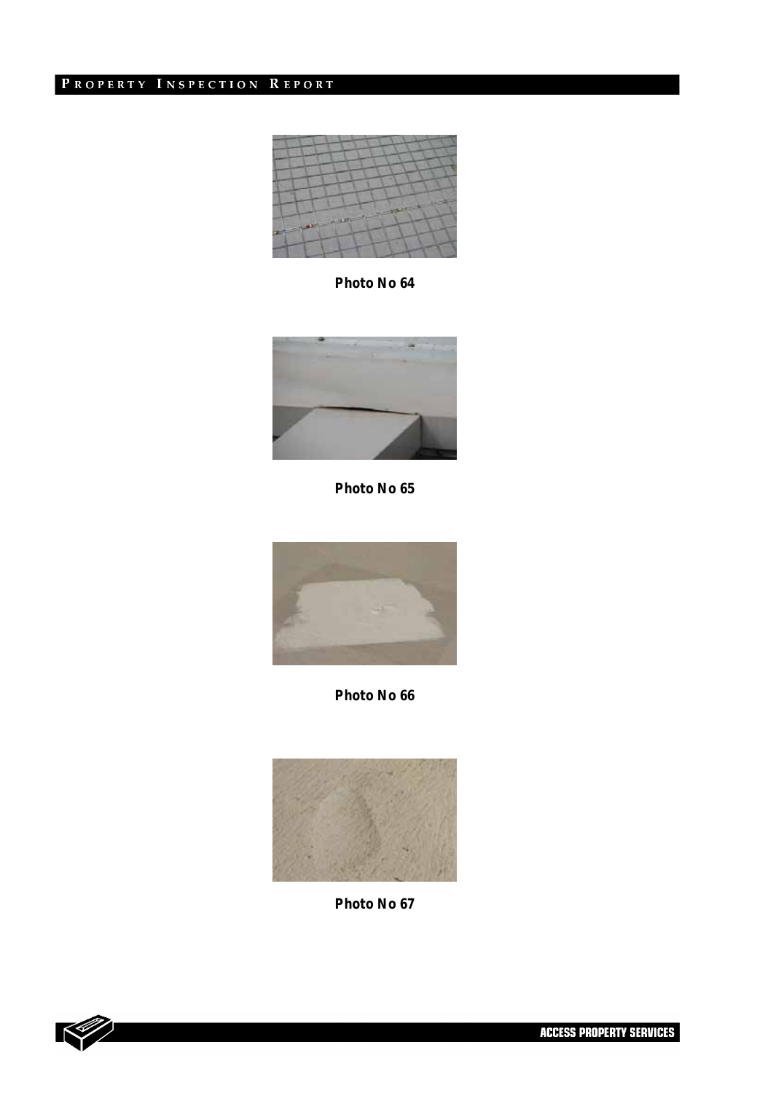

*Photo No 64* 



*Photo No 65* 



*Photo No 66* 



*Photo No 67*

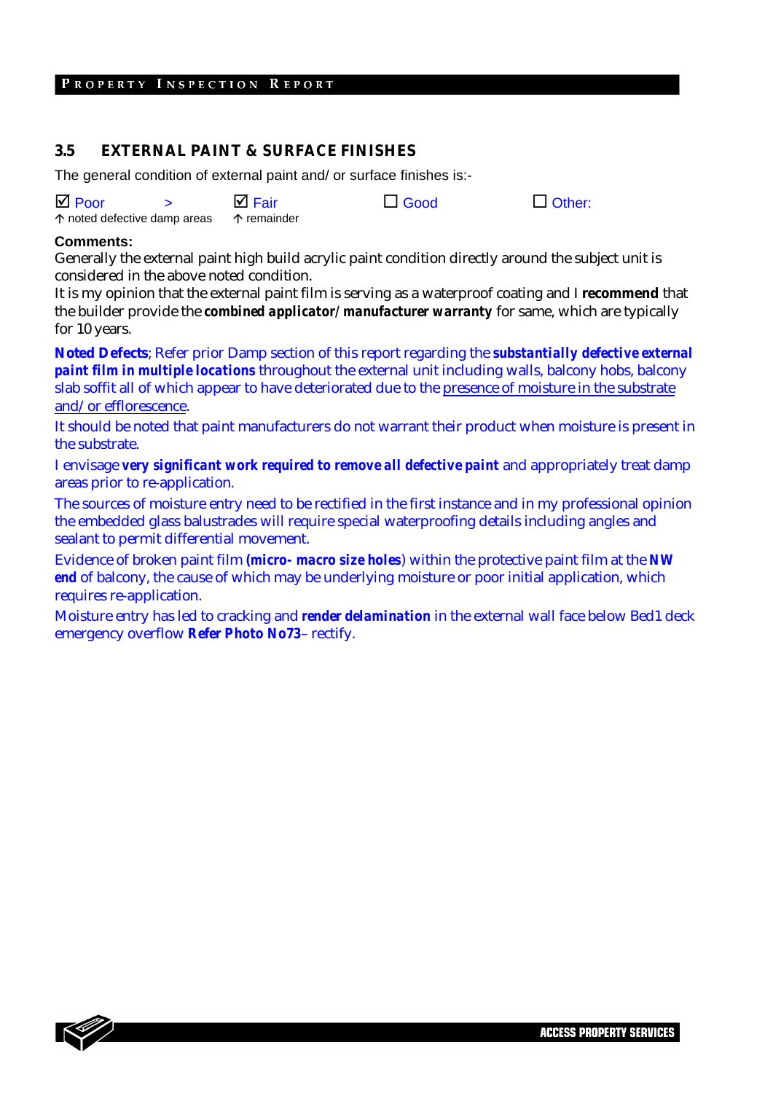#### **3.5 EXTERNAL PAINT & SURFACE FINISHES**

The general condition of external paint and/ or surface finishes is:-

| $\overline{M}$ Poor                                        | $\boxtimes$ Fair | $\Box$ Good | $\Box$ Other: |
|------------------------------------------------------------|------------------|-------------|---------------|
| $\uparrow$ noted defective damp areas $\uparrow$ remainder |                  |             |               |

#### **Comments:**

Generally the external paint high build acrylic paint condition directly around the subject unit is considered in the above noted condition.

It is my opinion that the external paint film is serving as a waterproof coating and I **recommend** that the builder provide the *combined applicator/ manufacturer warranty* for same, which are typically for 10 years.

**Noted Defects**; Refer prior Damp section of this report regarding the *substantially defective external paint film in multiple locations* throughout the external unit including walls, balcony hobs, balcony slab soffit all of which appear to have deteriorated due to the presence of moisture in the substrate and/or efflorescence.

It should be noted that paint manufacturers do not warrant their product when moisture is present in the substrate.

I envisage *very significant work required to remove all defective paint* and appropriately treat damp areas prior to re-application.

The sources of moisture entry need to be rectified in the first instance and in my professional opinion the embedded glass balustrades will require special waterproofing details including angles and sealant to permit differential movement.

Evidence of broken paint film *(micro- macro size holes*) within the protective paint film at the *NW end* of balcony, the cause of which may be underlying moisture or poor initial application, which requires re-application.

Moisture entry has led to cracking and *render delamination* in the external wall face below Bed1 deck emergency overflow *Refer Photo No73*– rectify.

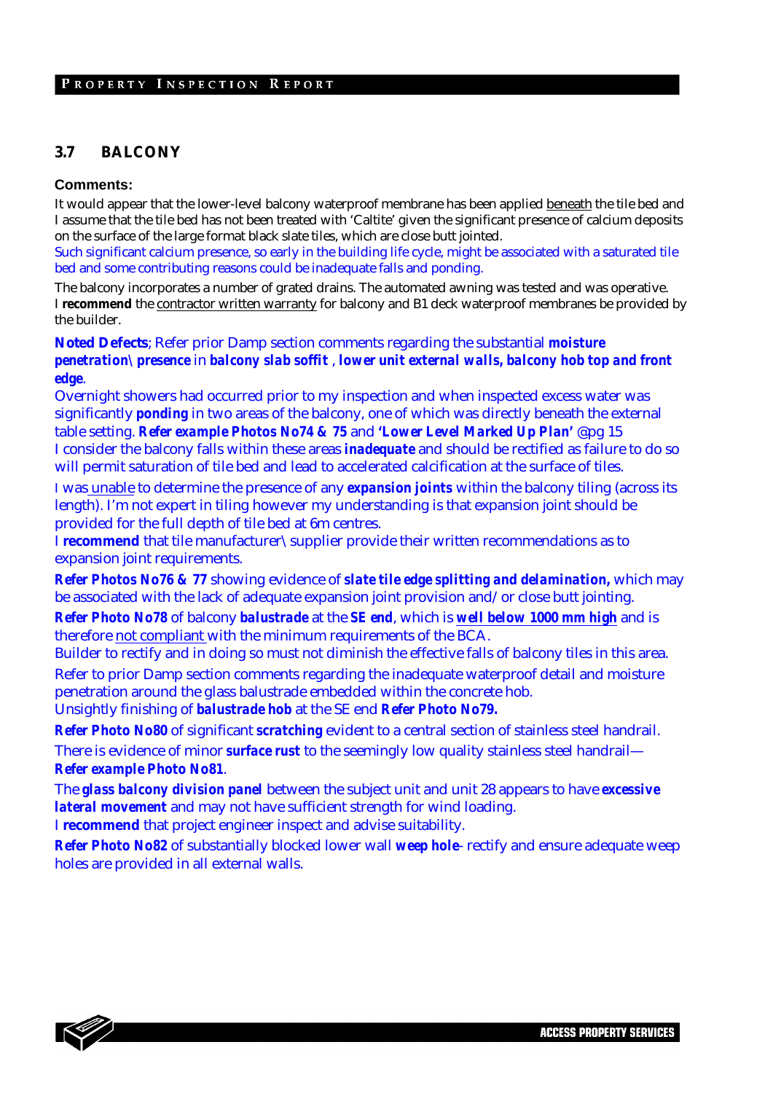#### **3.7 BALCONY**

#### **Comments:**

It would appear that the lower-level balcony waterproof membrane has been applied beneath the tile bed and I assume that the tile bed has not been treated with 'Caltite' given the significant presence of calcium deposits on the surface of the large format black slate tiles, which are close butt jointed.

Such significant calcium presence, so early in the building life cycle, might be associated with a saturated tile bed and some contributing reasons could be inadequate falls and ponding.

The balcony incorporates a number of grated drains. The automated awning was tested and was operative. I **recommend** the contractor written warranty for balcony and B1 deck waterproof membranes be provided by the builder.

**Noted Defects**; Refer prior Damp section comments regarding the substantial *moisture penetration\presence* in *balcony slab soffit* , *lower unit external walls, balcony hob top and front edge*.

Overnight showers had occurred prior to my inspection and when inspected excess water was significantly *ponding* in two areas of the balcony, one of which was directly beneath the external table setting. *Refer example Photos No74 & 75* and *'Lower Level Marked Up Plan'* @pg 15 I consider the balcony falls within these areas *inadequate* and should be rectified as failure to do so will permit saturation of tile bed and lead to accelerated calcification at the surface of tiles.

I was unable to determine the presence of any *expansion joints* within the balcony tiling (across its length). I'm not expert in tiling however my understanding is that expansion joint should be provided for the full depth of tile bed at 6m centres.

I **recommend** that tile manufacturer\supplier provide their written recommendations as to expansion joint requirements.

*Refer Photos No76 & 77* showing evidence of *slate tile edge splitting and delamination,* which may be associated with the lack of adequate expansion joint provision and/or close butt jointing.

*Refer Photo No78* of balcony *balustrade* at the *SE end*, which is *well below 1000 mm high* and is therefore not compliant with the minimum requirements of the BCA.

Builder to rectify and in doing so must not diminish the effective falls of balcony tiles in this area. Refer to prior Damp section comments regarding the inadequate waterproof detail and moisture penetration around the glass balustrade embedded within the concrete hob. Unsightly finishing of *balustrade hob* at the SE end *Refer Photo No79.* 

*Refer Photo No80* of significant *scratching* evident to a central section of stainless steel handrail. There is evidence of minor *surface rust* to the seemingly low quality stainless steel handrail— *Refer example Photo No81*.

The *glass balcony division panel* between the subject unit and unit 28 appears to have *excessive lateral movement* and may not have sufficient strength for wind loading.

I **recommend** that project engineer inspect and advise suitability.

*Refer Photo No82* of substantially blocked lower wall *weep hole*- rectify and ensure adequate weep holes are provided in all external walls.

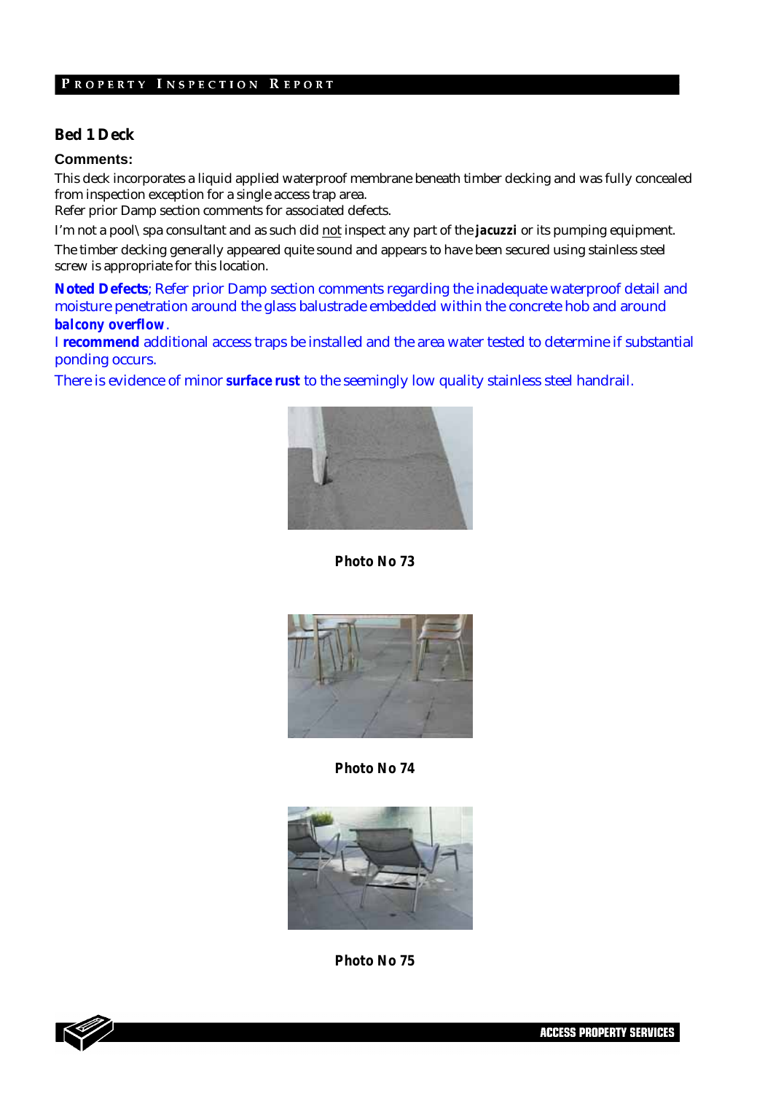#### **Bed 1 Deck**

#### **Comments:**

This deck incorporates a liquid applied waterproof membrane beneath timber decking and was fully concealed from inspection exception for a single access trap area.

Refer prior Damp section comments for associated defects.

I'm not a pool\spa consultant and as such did not inspect any part of the *jacuzzi* or its pumping equipment.

The timber decking generally appeared quite sound and appears to have been secured using stainless steel screw is appropriate for this location.

**Noted Defects**; Refer prior Damp section comments regarding the inadequate waterproof detail and moisture penetration around the glass balustrade embedded within the concrete hob and around *balcony overflow*.

I **recommend** additional access traps be installed and the area water tested to determine if substantial ponding occurs.

There is evidence of minor *surface rust* to the seemingly low quality stainless steel handrail.



*Photo No 73* 



*Photo No 74* 





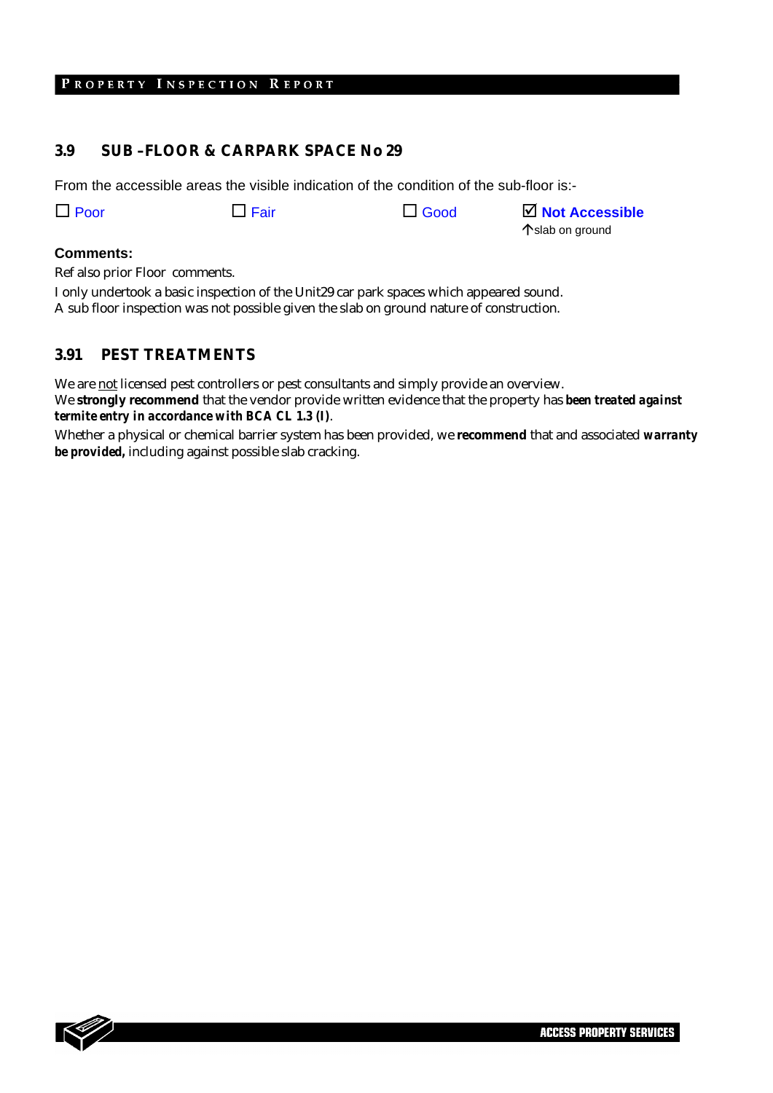#### **3.9 SUB –FLOOR & CARPARK SPACE No 29**

From the accessible areas the visible indication of the condition of the sub-floor is:-

Poor Fair Good ; **Not Accessible**

Çslab on ground

30

#### **Comments:**

Ref also prior Floor comments.

I only undertook a basic inspection of the Unit29 car park spaces which appeared sound. A sub floor inspection was not possible given the slab on ground nature of construction.

#### **3.91 PEST TREATMENTS**

We are not licensed pest controllers or pest consultants and simply provide an overview. We **strongly recommend** that the vendor provide written evidence that the property has *been treated against termite entry in accordance with BCA CL 1.3 (I)*.

Whether a physical or chemical barrier system has been provided, we **recommend** that and associated *warranty be provided,* including against possible slab cracking.

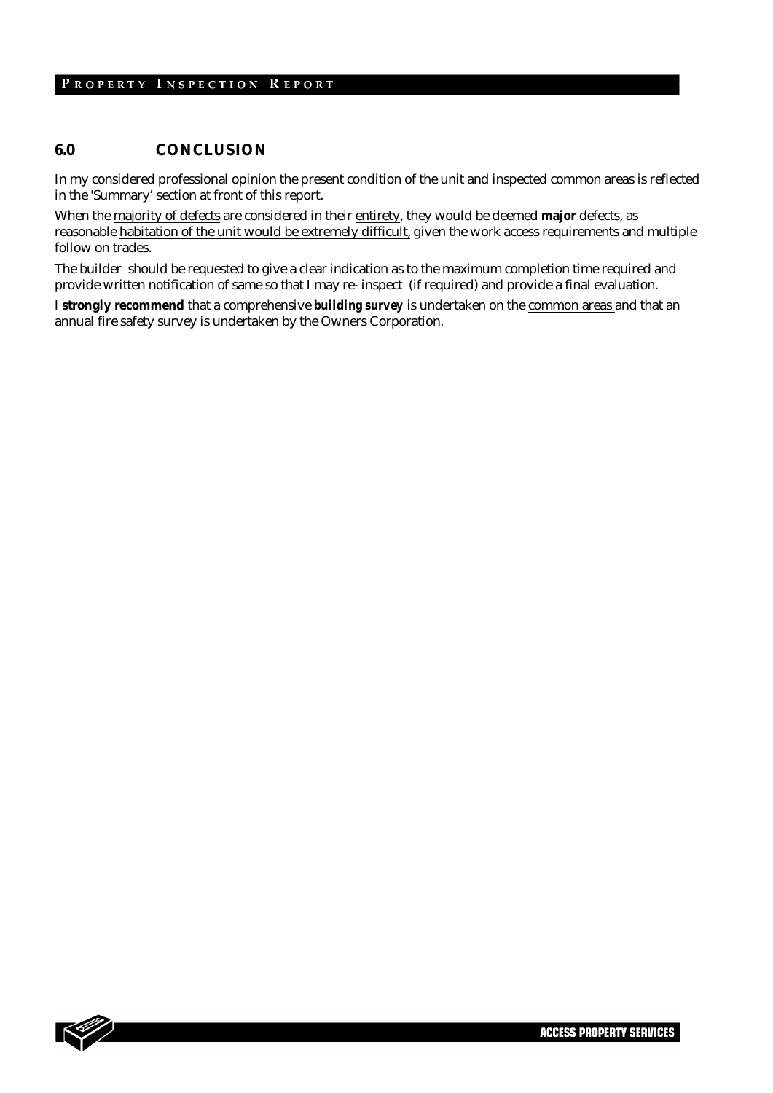#### **6.0 CONCLUSION**

In my considered professional opinion the present condition of the unit and inspected common areas is reflected in the 'Summary' section at front of this report.

When the majority of defects are considered in their entirety, they would be deemed **major** defects, as reasonable habitation of the unit would be extremely difficult, given the work access requirements and multiple follow on trades.

The builder should be requested to give a clear indication as to the maximum completion time required and provide written notification of same so that I may re- inspect (if required) and provide a final evaluation.

I **strongly recommend** that a comprehensive *building survey* is undertaken on the common areas and that an annual fire safety survey is undertaken by the Owners Corporation.

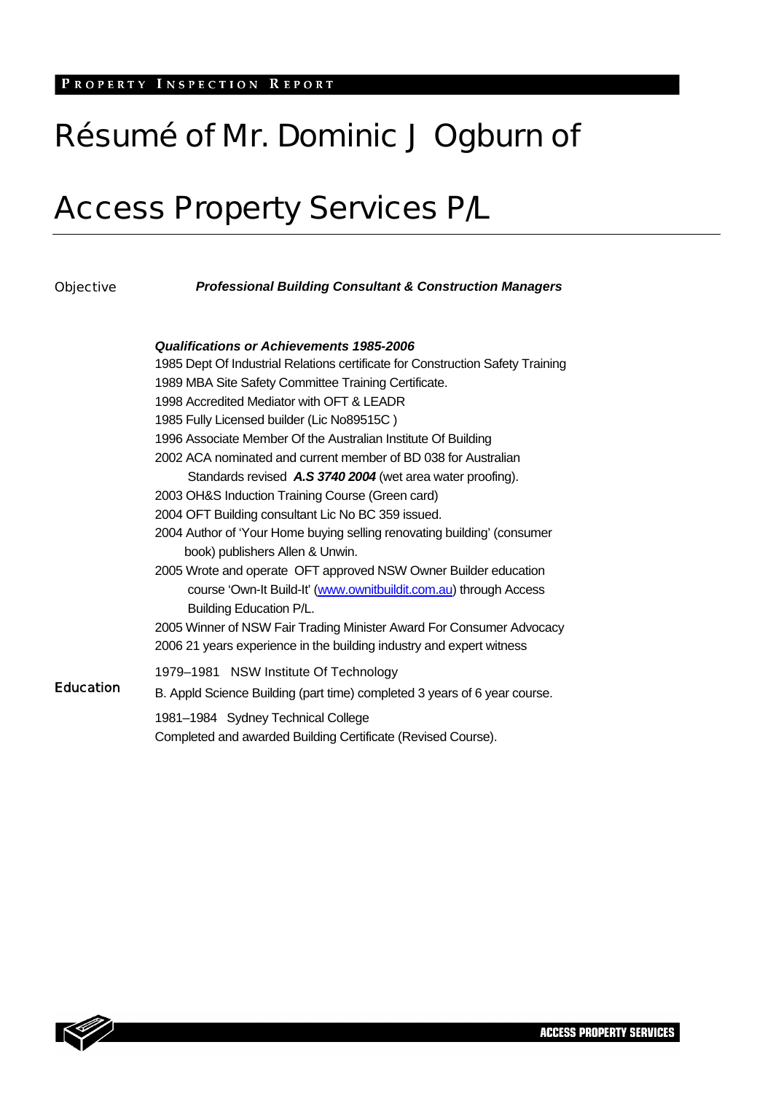# Résumé of Mr. Dominic J Ogburn of

# Access Property Services P/L

| <b>Objective</b> | <b>Professional Building Consultant &amp; Construction Managers</b>                          |  |  |  |
|------------------|----------------------------------------------------------------------------------------------|--|--|--|
|                  | Qualifications or Achievements 1985-2006                                                     |  |  |  |
|                  | 1985 Dept Of Industrial Relations certificate for Construction Safety Training               |  |  |  |
|                  | 1989 MBA Site Safety Committee Training Certificate.                                         |  |  |  |
|                  | 1998 Accredited Mediator with OFT & LEADR                                                    |  |  |  |
|                  | 1985 Fully Licensed builder (Lic No89515C)                                                   |  |  |  |
|                  | 1996 Associate Member Of the Australian Institute Of Building                                |  |  |  |
|                  | 2002 ACA nominated and current member of BD 038 for Australian                               |  |  |  |
|                  | Standards revised A.S 3740 2004 (wet area water proofing).                                   |  |  |  |
|                  | 2003 OH&S Induction Training Course (Green card)                                             |  |  |  |
|                  | 2004 OFT Building consultant Lic No BC 359 issued.                                           |  |  |  |
|                  | 2004 Author of 'Your Home buying selling renovating building' (consumer                      |  |  |  |
|                  | book) publishers Allen & Unwin.                                                              |  |  |  |
|                  | 2005 Wrote and operate OFT approved NSW Owner Builder education                              |  |  |  |
|                  | course 'Own-It Build-It' (www.ownitbuildit.com.au) through Access<br>Building Education P/L. |  |  |  |
|                  | 2005 Winner of NSW Fair Trading Minister Award For Consumer Advocacy                         |  |  |  |
|                  | 2006 21 years experience in the building industry and expert witness                         |  |  |  |
|                  | 1979-1981 NSW Institute Of Technology                                                        |  |  |  |
| <b>Education</b> | B. Appld Science Building (part time) completed 3 years of 6 year course.                    |  |  |  |
|                  | 1981-1984 Sydney Technical College                                                           |  |  |  |
|                  | Completed and awarded Building Certificate (Revised Course).                                 |  |  |  |

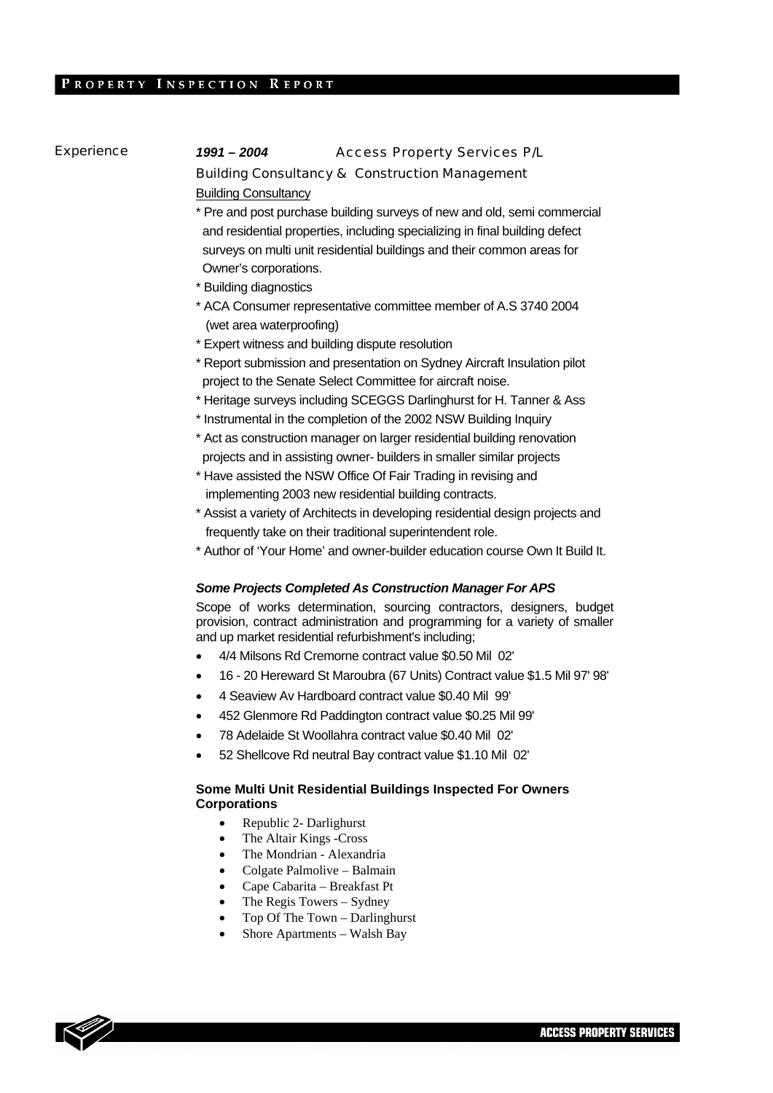# Experience *1991 – 2004* Access Property Services P/L Building Consultancy & Construction Management

Building Consultancy

- \* Pre and post purchase building surveys of new and old, semi commercial and residential properties, including specializing in final building defect surveys on multi unit residential buildings and their common areas for Owner's corporations.
- \* Building diagnostics
- \* ACA Consumer representative committee member of A.S 3740 2004 (wet area waterproofing)
- \* Expert witness and building dispute resolution
- \* Report submission and presentation on Sydney Aircraft Insulation pilot project to the Senate Select Committee for aircraft noise.
- \* Heritage surveys including SCEGGS Darlinghurst for H. Tanner & Ass
- \* Instrumental in the completion of the 2002 NSW Building Inquiry
- \* Act as construction manager on larger residential building renovation projects and in assisting owner- builders in smaller similar projects
- \* Have assisted the NSW Office Of Fair Trading in revising and implementing 2003 new residential building contracts.
- \* Assist a variety of Architects in developing residential design projects and frequently take on their traditional superintendent role.
- \* Author of 'Your Home' and owner-builder education course Own It Build It.

#### *Some Projects Completed As Construction Manager For APS*

Scope of works determination, sourcing contractors, designers, budget provision, contract administration and programming for a variety of smaller and up market residential refurbishment's including;

- 4/4 Milsons Rd Cremorne contract value \$0.50 Mil 02'
- 16 20 Hereward St Maroubra (67 Units) Contract value \$1.5 Mil 97' 98'
- 4 Seaview Av Hardboard contract value \$0.40 Mil 99'
- 452 Glenmore Rd Paddington contract value \$0.25 Mil 99'
- 78 Adelaide St Woollahra contract value \$0.40 Mil 02'
- 52 Shellcove Rd neutral Bay contract value \$1.10 Mil 02'

#### **Some Multi Unit Residential Buildings Inspected For Owners Corporations**

- Republic 2- Darlighurst
- The Altair Kings -Cross
- The Mondrian Alexandria
- Colgate Palmolive Balmain
- Cape Cabarita Breakfast Pt
- The Regis Towers Sydney
- Top Of The Town Darlinghurst
- Shore Apartments Walsh Bay